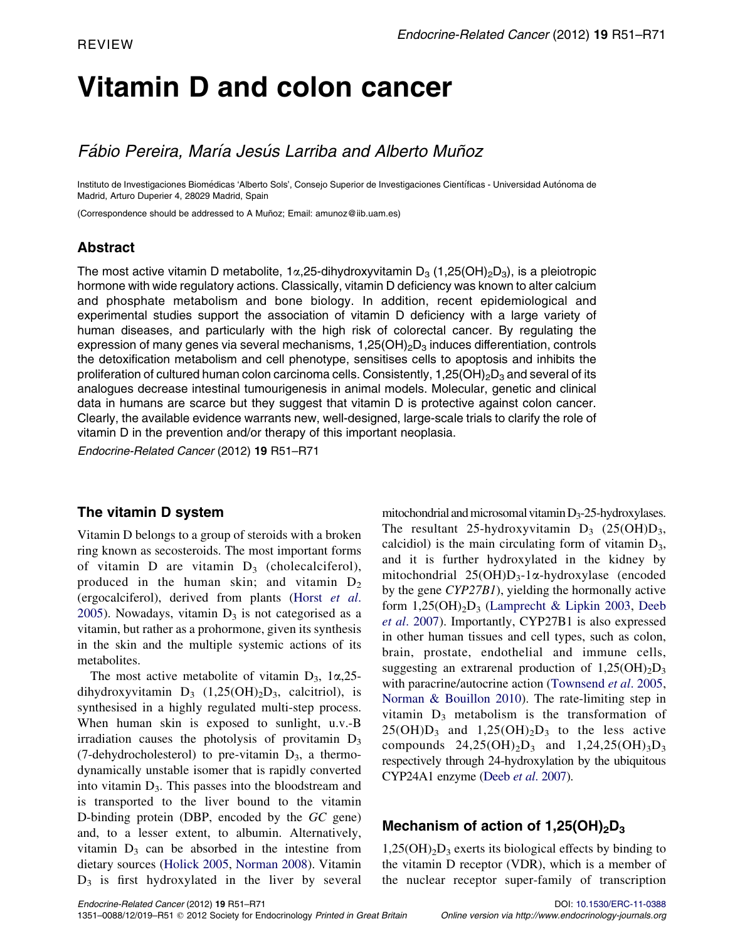# Vitamin D and colon cancer

# Fábio Pereira, María Jesús Larriba and Alberto Muñoz

Instituto de Investigaciones Biomédicas 'Alberto Sols', Consejo Superior de Investigaciones Científicas - Universidad Autónoma de Madrid, Arturo Duperier 4, 28029 Madrid, Spain

(Correspondence should be addressed to A Muñoz; Email: amunoz@iib.uam.es)

# Abstract

The most active vitamin D metabolite, 1 $\alpha$ , 25-dihydroxyvitamin D<sub>3</sub> (1,25(OH)<sub>2</sub>D<sub>3</sub>), is a pleiotropic hormone with wide regulatory actions. Classically, vitamin D deficiency was known to alter calcium and phosphate metabolism and bone biology. In addition, recent epidemiological and experimental studies support the association of vitamin D deficiency with a large variety of human diseases, and particularly with the high risk of colorectal cancer. By regulating the expression of many genes via several mechanisms,  $1,25(OH)<sub>2</sub>D<sub>3</sub>$  induces differentiation, controls the detoxification metabolism and cell phenotype, sensitises cells to apoptosis and inhibits the proliferation of cultured human colon carcinoma cells. Consistently,  $1,25(OH)<sub>2</sub>D<sub>3</sub>$  and several of its analogues decrease intestinal tumourigenesis in animal models. Molecular, genetic and clinical data in humans are scarce but they suggest that vitamin D is protective against colon cancer. Clearly, the available evidence warrants new, well-designed, large-scale trials to clarify the role of vitamin D in the prevention and/or therapy of this important neoplasia.

Endocrine-Related Cancer (2012) 19 R51–R71

#### The vitamin D system

Vitamin D belongs to a group of steroids with a broken ring known as secosteroids. The most important forms of vitamin D are vitamin  $D_3$  (cholecalciferol), produced in the human skin; and vitamin  $D_2$ (ergocalciferol), derived from plants ([Horst](#page-15-0) et al. [2005\)](#page-15-0). Nowadays, vitamin  $D_3$  is not categorised as a vitamin, but rather as a prohormone, given its synthesis in the skin and the multiple systemic actions of its metabolites.

The most active metabolite of vitamin  $D_3$ , 1 $\alpha$ , 25dihydroxyvitamin  $D_3$  (1,25(OH)<sub>2</sub>D<sub>3</sub>, calcitriol), is synthesised in a highly regulated multi-step process. When human skin is exposed to sunlight, u.v.-B irradiation causes the photolysis of provitamin  $D_3$ (7-dehydrocholesterol) to pre-vitamin  $D_3$ , a thermodynamically unstable isomer that is rapidly converted into vitamin  $D_3$ . This passes into the bloodstream and is transported to the liver bound to the vitamin D-binding protein (DBP, encoded by the GC gene) and, to a lesser extent, to albumin. Alternatively, vitamin  $D_3$  can be absorbed in the intestine from dietary sources ([Holick 2005,](#page-15-0) [Norman 2008](#page-17-0)). Vitamin  $D_3$  is first hydroxylated in the liver by several mitochondrial and microsomal vitamin $D_3-25$ -hydroxylases. The resultant 25-hydroxyvitamin  $D_3$  (25(OH) $D_3$ , calcidiol) is the main circulating form of vitamin  $D_3$ , and it is further hydroxylated in the kidney by mitochondrial  $25(OH)D_3-1\alpha$ -hydroxylase (encoded by the gene CYP27B1), yielding the hormonally active form  $1,25(OH)<sub>2</sub>D<sub>3</sub>$  [\(Lamprecht & Lipkin 2003,](#page-16-0) [Deeb](#page-13-0) et al[. 2007\)](#page-13-0). Importantly, CYP27B1 is also expressed in other human tissues and cell types, such as colon, brain, prostate, endothelial and immune cells, suggesting an extrarenal production of  $1,25(OH)<sub>2</sub>D<sub>3</sub>$ with paracrine/autocrine action [\(Townsend](#page-19-0) et al. 2005, [Norman & Bouillon 2010](#page-17-0)). The rate-limiting step in vitamin  $D_3$  metabolism is the transformation of  $25(OH)D_3$  and  $1,25(OH)_2D_3$  to the less active compounds  $24,25(OH)_2D_3$  and  $1,24,25(OH)_3D_3$ respectively through 24-hydroxylation by the ubiquitous CYP24A1 enzyme (Deeb et al[. 2007](#page-13-0)).

# Mechanism of action of  $1,25(OH)<sub>2</sub>D<sub>3</sub>$

 $1,25(OH)<sub>2</sub>D<sub>3</sub>$  exerts its biological effects by binding to the vitamin D receptor (VDR), which is a member of the nuclear receptor super-family of transcription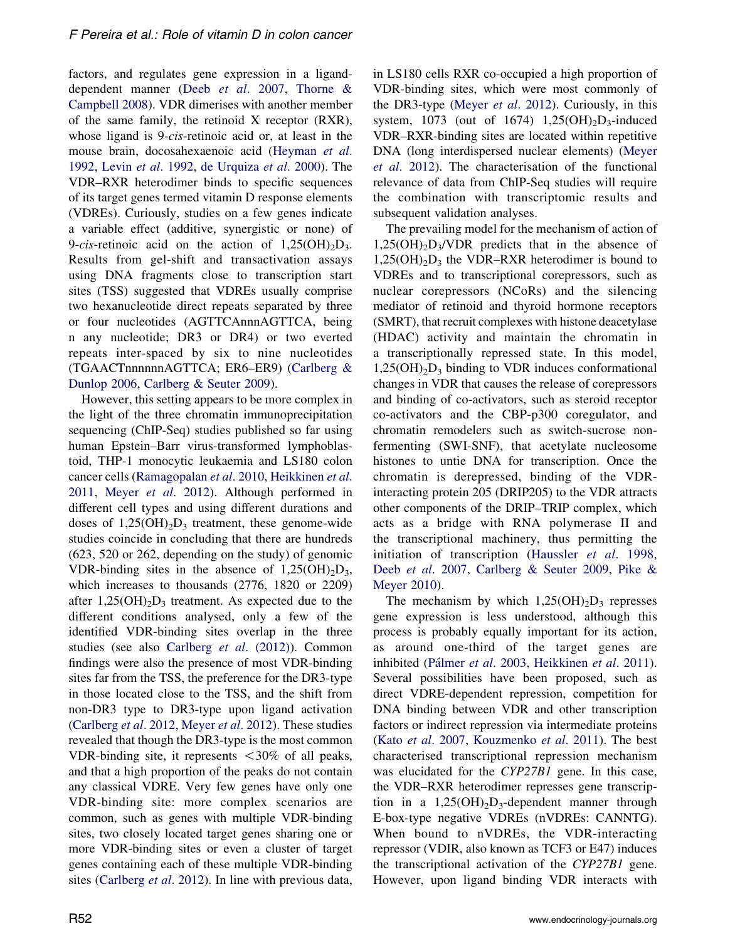factors, and regulates gene expression in a liganddependent manner (Deeb et al[. 2007,](#page-13-0) [Thorne &](#page-19-0) [Campbell 2008](#page-19-0)). VDR dimerises with another member of the same family, the retinoid X receptor (RXR), whose ligand is 9-cis-retinoic acid or, at least in the mouse brain, docosahexaenoic acid ([Heyman](#page-15-0) et al. [1992,](#page-15-0) Levin et al[. 1992](#page-17-0), [de Urquiza](#page-19-0) et al. 2000). The VDR–RXR heterodimer binds to specific sequences of its target genes termed vitamin D response elements (VDREs). Curiously, studies on a few genes indicate a variable effect (additive, synergistic or none) of 9-cis-retinoic acid on the action of  $1,25(OH)_{2}D_{3}$ . Results from gel-shift and transactivation assays using DNA fragments close to transcription start sites (TSS) suggested that VDREs usually comprise two hexanucleotide direct repeats separated by three or four nucleotides (AGTTCAnnnAGTTCA, being n any nucleotide; DR3 or DR4) or two everted repeats inter-spaced by six to nine nucleotides (TGAACTnnnnnnAGTTCA; ER6–ER9) [\(Carlberg &](#page-13-0) [Dunlop 2006,](#page-13-0) [Carlberg & Seuter 2009\)](#page-13-0).

However, this setting appears to be more complex in the light of the three chromatin immunoprecipitation sequencing (ChIP-Seq) studies published so far using human Epstein–Barr virus-transformed lymphoblastoid, THP-1 monocytic leukaemia and LS180 colon cancer cells [\(Ramagopalan](#page-18-0) et al. 2010, [Heikkinen](#page-15-0) et al. [2011,](#page-15-0) Meyer et al[. 2012\)](#page-17-0). Although performed in different cell types and using different durations and doses of  $1,25(OH)_{2}D_{3}$  treatment, these genome-wide studies coincide in concluding that there are hundreds (623, 520 or 262, depending on the study) of genomic VDR-binding sites in the absence of  $1,25(OH)_{2}D_{3}$ , which increases to thousands (2776, 1820 or 2209) after  $1,25(OH)<sub>2</sub>D<sub>3</sub>$  treatment. As expected due to the different conditions analysed, only a few of the identified VDR-binding sites overlap in the three studies (see also [Carlberg](#page-13-0) et al. (2012)). Common findings were also the presence of most VDR-binding sites far from the TSS, the preference for the DR3-type in those located close to the TSS, and the shift from non-DR3 type to DR3-type upon ligand activation [\(Carlberg](#page-13-0) et al. 2012, [Meyer](#page-17-0) et al. 2012). These studies revealed that though the DR3-type is the most common VDR-binding site, it represents <30% of all peaks, and that a high proportion of the peaks do not contain any classical VDRE. Very few genes have only one VDR-binding site: more complex scenarios are common, such as genes with multiple VDR-binding sites, two closely located target genes sharing one or more VDR-binding sites or even a cluster of target genes containing each of these multiple VDR-binding sites ([Carlberg](#page-13-0) *et al.* 2012). In line with previous data, in LS180 cells RXR co-occupied a high proportion of VDR-binding sites, which were most commonly of the DR3-type (Meyer et al[. 2012\)](#page-17-0). Curiously, in this system, 1073 (out of 1674)  $1,25(OH)_{2}D_{3}$ -induced VDR–RXR-binding sites are located within repetitive DNA (long interdispersed nuclear elements) [\(Meyer](#page-17-0) et al[. 2012\)](#page-17-0). The characterisation of the functional relevance of data from ChIP-Seq studies will require the combination with transcriptomic results and subsequent validation analyses.

The prevailing model for the mechanism of action of  $1,25(OH)<sub>2</sub>D<sub>3</sub>/VDR$  predicts that in the absence of  $1,25(OH)<sub>2</sub>D<sub>3</sub>$  the VDR–RXR heterodimer is bound to VDREs and to transcriptional corepressors, such as nuclear corepressors (NCoRs) and the silencing mediator of retinoid and thyroid hormone receptors (SMRT), that recruit complexes with histone deacetylase (HDAC) activity and maintain the chromatin in a transcriptionally repressed state. In this model,  $1,25(OH)<sub>2</sub>D<sub>3</sub>$  binding to VDR induces conformational changes in VDR that causes the release of corepressors and binding of co-activators, such as steroid receptor co-activators and the CBP-p300 coregulator, and chromatin remodelers such as switch-sucrose nonfermenting (SWI-SNF), that acetylate nucleosome histones to untie DNA for transcription. Once the chromatin is derepressed, binding of the VDRinteracting protein 205 (DRIP205) to the VDR attracts other components of the DRIP–TRIP complex, which acts as a bridge with RNA polymerase II and the transcriptional machinery, thus permitting the initiation of transcription ([Haussler](#page-15-0) et al. 1998, Deeb et al[. 2007,](#page-13-0) [Carlberg & Seuter 2009,](#page-13-0) [Pike &](#page-18-0) [Meyer 2010](#page-18-0)).

The mechanism by which  $1,25(OH)<sub>2</sub>D<sub>3</sub>$  represses gene expression is less understood, although this process is probably equally important for its action, as around one-third of the target genes are inhibited (Pálmer et al. 2003, [Heikkinen](#page-15-0) et al. 2011). Several possibilities have been proposed, such as direct VDRE-dependent repression, competition for DNA binding between VDR and other transcription factors or indirect repression via intermediate proteins (Kato et al[. 2007](#page-16-0), [Kouzmenko](#page-16-0) et al. 2011). The best characterised transcriptional repression mechanism was elucidated for the CYP27B1 gene. In this case, the VDR–RXR heterodimer represses gene transcription in a  $1,25(OH)_2D_3$ -dependent manner through E-box-type negative VDREs (nVDREs: CANNTG). When bound to nVDREs, the VDR-interacting repressor (VDIR, also known as TCF3 or E47) induces the transcriptional activation of the CYP27B1 gene. However, upon ligand binding VDR interacts with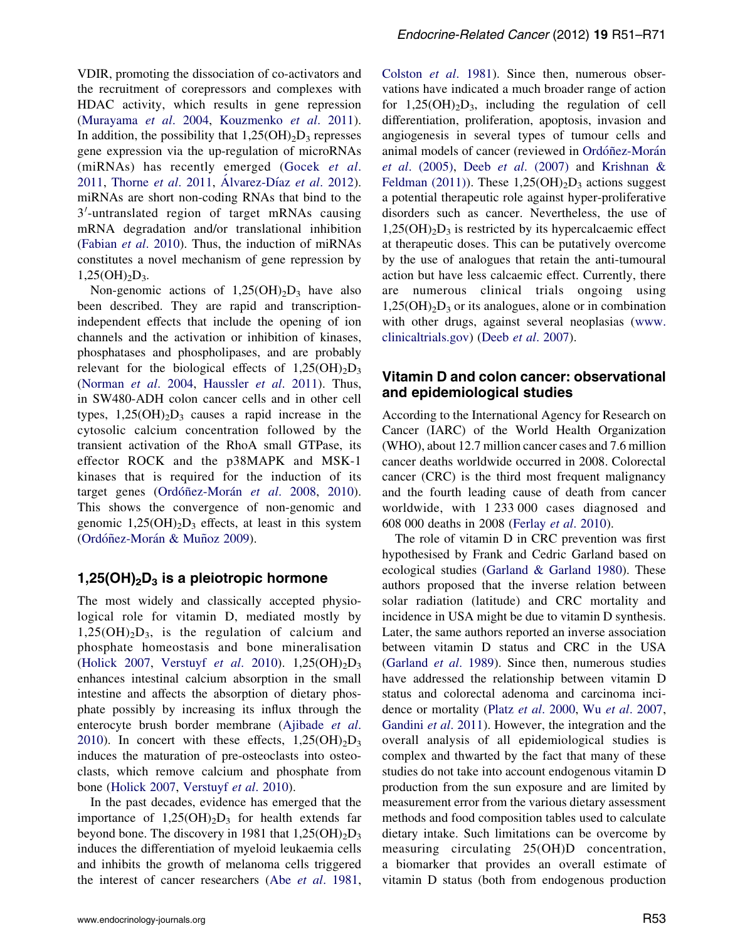VDIR, promoting the dissociation of co-activators and the recruitment of corepressors and complexes with HDAC activity, which results in gene repression [\(Murayama](#page-17-0) et al. 2004, [Kouzmenko](#page-16-0) et al. 2011). In addition, the possibility that  $1,25(OH)_2D_3$  represses gene expression via the up-regulation of microRNAs (miRNAs) has recently emerged ([Gocek](#page-15-0) et al. [2011,](#page-15-0) [Thorne](#page-19-0) et al. 2011, Alvarez-Díaz et al. 2012). miRNAs are short non-coding RNAs that bind to the 3'-untranslated region of target mRNAs causing mRNA degradation and/or translational inhibition [\(Fabian](#page-14-0) et al. 2010). Thus, the induction of miRNAs constitutes a novel mechanism of gene repression by  $1,25(OH)_{2}D_{3}$ .

Non-genomic actions of  $1,25(OH)_{2}D_{3}$  have also been described. They are rapid and transcriptionindependent effects that include the opening of ion channels and the activation or inhibition of kinases, phosphatases and phospholipases, and are probably relevant for the biological effects of  $1,25(OH)_{2}D_{3}$ [\(Norman](#page-17-0) et al. 2004, [Haussler](#page-15-0) et al. 2011). Thus, in SW480-ADH colon cancer cells and in other cell types,  $1,25(OH)<sub>2</sub>D<sub>3</sub>$  causes a rapid increase in the cytosolic calcium concentration followed by the transient activation of the RhoA small GTPase, its effector ROCK and the p38MAPK and MSK-1 kinases that is required for the induction of its target genes (Ordóñez-Morán et al. 2008, [2010](#page-18-0)). This shows the convergence of non-genomic and genomic  $1,25(OH)<sub>2</sub>D<sub>3</sub>$  effects, at least in this system (Ordóñez-Morán & Muñoz 2009).

#### 1,25(OH)<sub>2</sub>D<sub>3</sub> is a pleiotropic hormone

The most widely and classically accepted physiological role for vitamin D, mediated mostly by  $1,25(OH)<sub>2</sub>D<sub>3</sub>$ , is the regulation of calcium and phosphate homeostasis and bone mineralisation [\(Holick 2007](#page-15-0), [Verstuyf](#page-19-0) et al. 2010).  $1,25(OH)_{2}D_{3}$ enhances intestinal calcium absorption in the small intestine and affects the absorption of dietary phosphate possibly by increasing its influx through the enterocyte brush border membrane [\(Ajibade](#page-12-0) et al. [2010\)](#page-12-0). In concert with these effects,  $1,25(OH)_{2}D_{3}$ induces the maturation of pre-osteoclasts into osteoclasts, which remove calcium and phosphate from bone ([Holick 2007,](#page-15-0) [Verstuyf](#page-19-0) et al. 2010).

In the past decades, evidence has emerged that the importance of  $1,25(OH)_{2}D_{3}$  for health extends far beyond bone. The discovery in 1981 that  $1,25(OH)_{2}D_{3}$ induces the differentiation of myeloid leukaemia cells and inhibits the growth of melanoma cells triggered the interest of cancer researchers (Abe et al[. 1981](#page-12-0), [Colston](#page-13-0) et al. 1981). Since then, numerous observations have indicated a much broader range of action for  $1,25(OH)_2D_3$ , including the regulation of cell differentiation, proliferation, apoptosis, invasion and angiogenesis in several types of tumour cells and animal models of cancer (reviewed in Ordóñez-Morán et al.  $(2005)$ , Deeb et al.  $(2007)$  and [Krishnan &](#page-16-0) [Feldman \(2011\)\)](#page-16-0). These  $1,25(OH)<sub>2</sub>D<sub>3</sub>$  actions suggest a potential therapeutic role against hyper-proliferative disorders such as cancer. Nevertheless, the use of  $1,25(OH)<sub>2</sub>D<sub>3</sub>$  is restricted by its hypercalcaemic effect at therapeutic doses. This can be putatively overcome by the use of analogues that retain the anti-tumoural action but have less calcaemic effect. Currently, there are numerous clinical trials ongoing using  $1,25(OH)<sub>2</sub>D<sub>3</sub>$  or its analogues, alone or in combination with other drugs, against several neoplasias [\(www.](http://www.clinicaltrials.gov) [clinicaltrials.gov](http://www.clinicaltrials.gov)) (Deeb et al[. 2007](#page-13-0)).

# Vitamin D and colon cancer: observational and epidemiological studies

According to the International Agency for Research on Cancer (IARC) of the World Health Organization (WHO), about 12.7 million cancer cases and 7.6 million cancer deaths worldwide occurred in 2008. Colorectal cancer (CRC) is the third most frequent malignancy and the fourth leading cause of death from cancer worldwide, with 1 233 000 cases diagnosed and 608 000 deaths in 2008 ([Ferlay](#page-14-0) et al. 2010).

The role of vitamin D in CRC prevention was first hypothesised by Frank and Cedric Garland based on ecological studies ([Garland & Garland 1980](#page-14-0)). These authors proposed that the inverse relation between solar radiation (latitude) and CRC mortality and incidence in USA might be due to vitamin D synthesis. Later, the same authors reported an inverse association between vitamin D status and CRC in the USA [\(Garland](#page-14-0) et al. 1989). Since then, numerous studies have addressed the relationship between vitamin D status and colorectal adenoma and carcinoma incidence or mortality (Platz et al[. 2000](#page-18-0), Wu et al[. 2007,](#page-20-0) [Gandini](#page-14-0) et al. 2011). However, the integration and the overall analysis of all epidemiological studies is complex and thwarted by the fact that many of these studies do not take into account endogenous vitamin D production from the sun exposure and are limited by measurement error from the various dietary assessment methods and food composition tables used to calculate dietary intake. Such limitations can be overcome by measuring circulating 25(OH)D concentration, a biomarker that provides an overall estimate of vitamin D status (both from endogenous production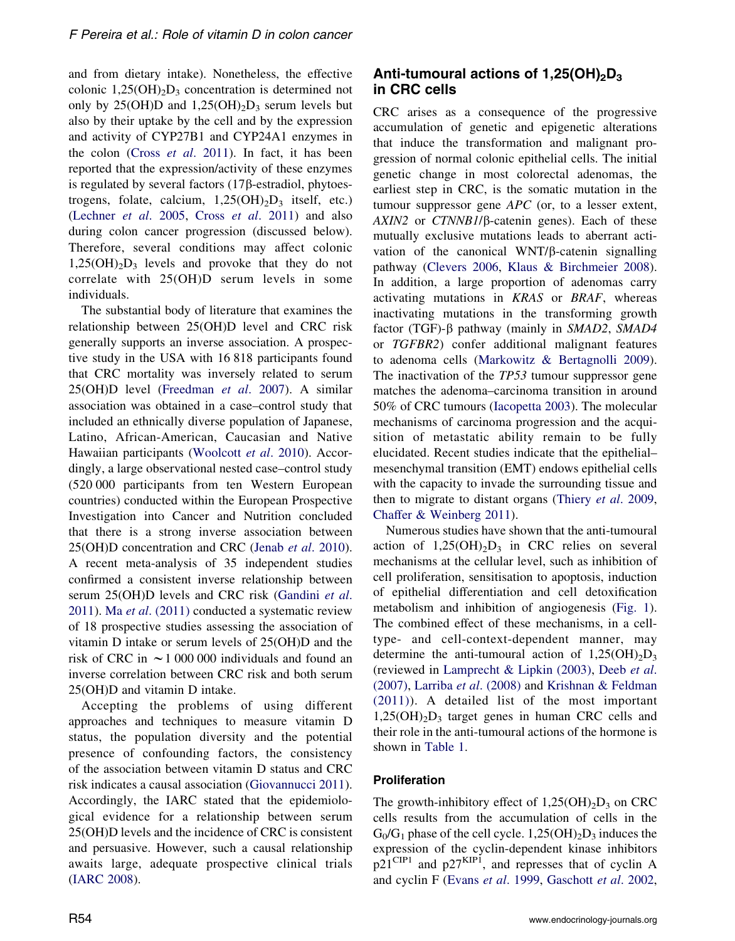and from dietary intake). Nonetheless, the effective colonic  $1,25(OH)<sub>2</sub>D<sub>3</sub>$  concentration is determined not only by 25(OH)D and  $1,25(OH)_{2}D_{3}$  serum levels but also by their uptake by the cell and by the expression and activity of CYP27B1 and CYP24A1 enzymes in the colon (Cross et al[. 2011\)](#page-13-0). In fact, it has been reported that the expression/activity of these enzymes is regulated by several factors  $(17\beta$ -estradiol, phytoestrogens, folate, calcium,  $1,25(OH)_2D_3$  itself, etc.) [\(Lechner](#page-17-0) et al. 2005, Cross et al[. 2011](#page-13-0)) and also during colon cancer progression (discussed below). Therefore, several conditions may affect colonic  $1,25(OH)_{2}D_{3}$  levels and provoke that they do not correlate with 25(OH)D serum levels in some individuals.

The substantial body of literature that examines the relationship between 25(OH)D level and CRC risk generally supports an inverse association. A prospective study in the USA with 16 818 participants found that CRC mortality was inversely related to serum 25(OH)D level [\(Freedman](#page-14-0) et al. 2007). A similar association was obtained in a case–control study that included an ethnically diverse population of Japanese, Latino, African-American, Caucasian and Native Hawaiian participants ([Woolcott](#page-19-0) et al. 2010). Accordingly, a large observational nested case–control study (520 000 participants from ten Western European countries) conducted within the European Prospective Investigation into Cancer and Nutrition concluded that there is a strong inverse association between 25(OH)D concentration and CRC (Jenab et al[. 2010](#page-16-0)). A recent meta-analysis of 35 independent studies confirmed a consistent inverse relationship between serum 25(OH)D levels and CRC risk ([Gandini](#page-14-0) et al. [2011\)](#page-14-0). Ma et al[. \(2011\)](#page-17-0) conducted a systematic review of 18 prospective studies assessing the association of vitamin D intake or serum levels of 25(OH)D and the risk of CRC in  $\sim$  1 000 000 individuals and found an inverse correlation between CRC risk and both serum 25(OH)D and vitamin D intake.

Accepting the problems of using different approaches and techniques to measure vitamin D status, the population diversity and the potential presence of confounding factors, the consistency of the association between vitamin D status and CRC risk indicates a causal association ([Giovannucci 2011](#page-15-0)). Accordingly, the IARC stated that the epidemiological evidence for a relationship between serum 25(OH)D levels and the incidence of CRC is consistent and persuasive. However, such a causal relationship awaits large, adequate prospective clinical trials [\(IARC 2008](#page-15-0)).

# Anti-tumoural actions of  $1,25(OH)<sub>2</sub>D<sub>3</sub>$ in CRC cells

CRC arises as a consequence of the progressive accumulation of genetic and epigenetic alterations that induce the transformation and malignant progression of normal colonic epithelial cells. The initial genetic change in most colorectal adenomas, the earliest step in CRC, is the somatic mutation in the tumour suppressor gene APC (or, to a lesser extent,  $AXIN2$  or  $CTNNB1/\beta$ -catenin genes). Each of these mutually exclusive mutations leads to aberrant activation of the canonical WNT/ $\beta$ -catenin signalling pathway ([Clevers 2006,](#page-13-0) [Klaus & Birchmeier 2008](#page-16-0)). In addition, a large proportion of adenomas carry activating mutations in KRAS or BRAF, whereas inactivating mutations in the transforming growth factor (TGF)- $\beta$  pathway (mainly in SMAD2, SMAD4 or TGFBR2) confer additional malignant features to adenoma cells [\(Markowitz & Bertagnolli 2009](#page-17-0)). The inactivation of the TP53 tumour suppressor gene matches the adenoma–carcinoma transition in around 50% of CRC tumours [\(Iacopetta 2003](#page-15-0)). The molecular mechanisms of carcinoma progression and the acquisition of metastatic ability remain to be fully elucidated. Recent studies indicate that the epithelial– mesenchymal transition (EMT) endows epithelial cells with the capacity to invade the surrounding tissue and then to migrate to distant organs ([Thiery](#page-19-0) et al. 2009, [Chaffer & Weinberg 2011](#page-13-0)).

Numerous studies have shown that the anti-tumoural action of  $1,25(OH)_{2}D_{3}$  in CRC relies on several mechanisms at the cellular level, such as inhibition of cell proliferation, sensitisation to apoptosis, induction of epithelial differentiation and cell detoxification metabolism and inhibition of angiogenesis ([Fig. 1](#page-4-0)). The combined effect of these mechanisms, in a celltype- and cell-context-dependent manner, may determine the anti-tumoural action of  $1,25(OH)_{2}D_{3}$ (reviewed in [Lamprecht & Lipkin \(2003\)](#page-16-0), [Deeb](#page-13-0) et al. [\(2007\),](#page-13-0) Larriba et al[. \(2008\)](#page-16-0) and [Krishnan & Feldman](#page-16-0) [\(2011\)](#page-16-0)). A detailed list of the most important  $1,25(OH)_{2}D_{3}$  target genes in human CRC cells and their role in the anti-tumoural actions of the hormone is shown in [Table 1.](#page-5-0)

#### Proliferation

The growth-inhibitory effect of  $1,25(OH)_{2}D_{3}$  on CRC cells results from the accumulation of cells in the  $G_0/G_1$  phase of the cell cycle. 1,25(OH)<sub>2</sub>D<sub>3</sub> induces the expression of the cyclin-dependent kinase inhibitors  $p21^{\text{CIP1}}$  and  $p27^{\text{KIP1}}$ , and represses that of cyclin A and cyclin F (Evans et al[. 1999,](#page-14-0) [Gaschott](#page-15-0) et al. 2002,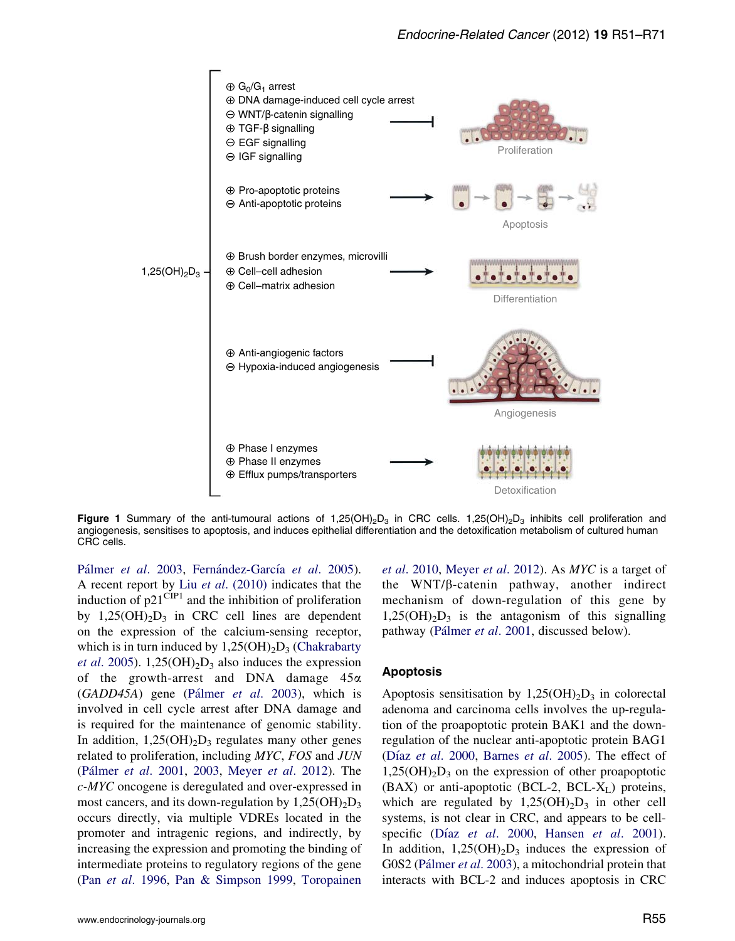<span id="page-4-0"></span>

Figure 1 Summary of the anti-tumoural actions of 1,25(OH)<sub>2</sub>D<sub>3</sub> in CRC cells. 1,25(OH)<sub>2</sub>D<sub>3</sub> inhibits cell proliferation and angiogenesis, sensitises to apoptosis, and induces epithelial differentiation and the detoxification metabolism of cultured human CRC cells.

Pálmer et al. 2003, Fernández-García et al. 2005). A recent report by Liu et al[. \(2010\)](#page-17-0) indicates that the induction of  $p21^{\text{CIP1}}$  and the inhibition of proliferation by  $1,25(OH)_{2}D_{3}$  in CRC cell lines are dependent on the expression of the calcium-sensing receptor, which is in turn induced by  $1,25(OH)<sub>2</sub>D<sub>3</sub>$  [\(Chakrabarty](#page-13-0) *et al.* 2005). 1,25(OH)<sub>2</sub>D<sub>3</sub> also induces the expression of the growth-arrest and DNA damage  $45\alpha$  $(GADD45A)$  gene (Pálmer *et al.* 2003), which is involved in cell cycle arrest after DNA damage and is required for the maintenance of genomic stability. In addition,  $1,25(OH)_{2}D_{3}$  regulates many other genes related to proliferation, including MYC, FOS and JUN (Pálmer et al. 2001, [2003](#page-18-0), Meyer et al[. 2012](#page-17-0)). The c-MYC oncogene is deregulated and over-expressed in most cancers, and its down-regulation by  $1,25(OH)_{2}D_{3}$ occurs directly, via multiple VDREs located in the promoter and intragenic regions, and indirectly, by increasing the expression and promoting the binding of intermediate proteins to regulatory regions of the gene (Pan et al[. 1996,](#page-18-0) [Pan & Simpson 1999,](#page-18-0) [Toropainen](#page-19-0)

et al[. 2010](#page-19-0), [Meyer](#page-17-0) et al. 2012). As MYC is a target of the  $WNT/\beta$ -catenin pathway, another indirect mechanism of down-regulation of this gene by  $1,25(OH)_{2}D_{3}$  is the antagonism of this signalling pathway (Pálmer et al. 2001, discussed below).

#### Apoptosis

Apoptosis sensitisation by  $1,25(OH)_2D_3$  in colorectal adenoma and carcinoma cells involves the up-regulation of the proapoptotic protein BAK1 and the downregulation of the nuclear anti-apoptotic protein BAG1 (Díaz et al[. 2000,](#page-13-0) [Barnes](#page-13-0) et al. 2005). The effect of  $1,25(OH)_{2}D_{3}$  on the expression of other proapoptotic  $(BAX)$  or anti-apoptotic  $(BCL-2, BCL-X_L)$  proteins, which are regulated by  $1,25(OH)_{2}D_{3}$  in other cell systems, is not clear in CRC, and appears to be cell-specific (Díaz et al[. 2000,](#page-13-0) [Hansen](#page-15-0) et al. 2001). In addition,  $1,25(OH)_{2}D_{3}$  induces the expression of G0S2 (Pálmer et al. 2003), a mitochondrial protein that interacts with BCL-2 and induces apoptosis in CRC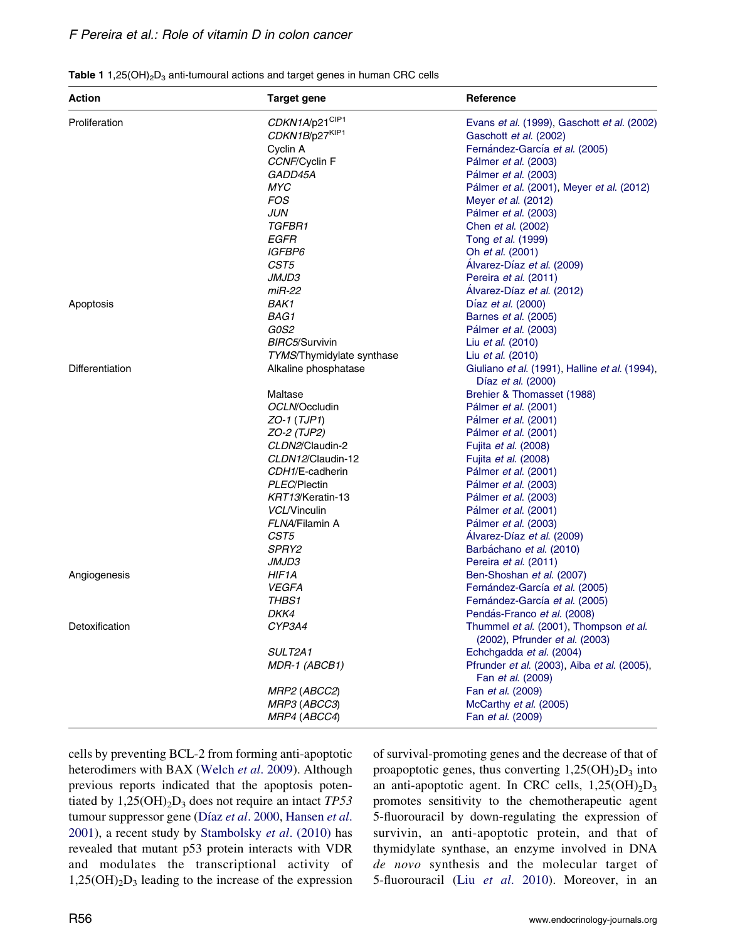<span id="page-5-0"></span>

|  | <b>Table 1</b> 1,25(OH) <sub>2</sub> D <sub>3</sub> anti-tumoural actions and target genes in human CRC cells |
|--|---------------------------------------------------------------------------------------------------------------|
|--|---------------------------------------------------------------------------------------------------------------|

| <b>Action</b>          | <b>Target gene</b>                           | Reference                                                                                               |
|------------------------|----------------------------------------------|---------------------------------------------------------------------------------------------------------|
| Proliferation          | CDKN1A/p21CIP1<br>CDKN1B/p27KIP1<br>Cyclin A | Evans et al. (1999), Gaschott et al. (2002)<br>Gaschott et al. (2002)<br>Fernández-García et al. (2005) |
|                        | CCNF/Cyclin F                                | Pálmer et al. (2003)                                                                                    |
|                        | GADD45A                                      | Pálmer et al. (2003)                                                                                    |
|                        | MYC                                          | Pálmer et al. (2001), Meyer et al. (2012)                                                               |
|                        | FOS                                          | Meyer et al. (2012)                                                                                     |
|                        | JUN                                          | Pálmer et al. (2003)                                                                                    |
|                        | TGFBR1                                       | Chen et al. (2002)                                                                                      |
|                        | EGFR                                         | Tong <i>et al.</i> (1999)                                                                               |
|                        | <i>IGFBP6</i>                                | Oh <i>et al.</i> (2001)                                                                                 |
|                        | CST5                                         | Alvarez-Díaz et al. (2009)                                                                              |
|                        | <i>JMJD3</i>                                 | Pereira et al. (2011)                                                                                   |
|                        | $miR-22$                                     | Alvarez-Díaz et al. (2012)                                                                              |
| Apoptosis              | <b>BAK1</b>                                  | Díaz et al. (2000)                                                                                      |
|                        | BAG1                                         | Barnes et al. (2005)                                                                                    |
|                        | G0S2                                         | Pálmer et al. (2003)                                                                                    |
|                        | BIRC5/Survivin                               | Liu <i>et al.</i> (2010)                                                                                |
|                        | TYMS/Thymidylate synthase                    | Liu <i>et al.</i> (2010)                                                                                |
| <b>Differentiation</b> | Alkaline phosphatase                         | Giuliano et al. (1991), Halline et al. (1994),                                                          |
|                        |                                              | Díaz <i>et al.</i> (2000)                                                                               |
|                        | Maltase                                      | Brehier & Thomasset (1988)                                                                              |
|                        | OCLN/Occludin                                | Pálmer <i>et al.</i> (2001)                                                                             |
|                        | ZO-1 (TJP1)                                  | Pálmer et al. (2001)                                                                                    |
|                        | ZO-2 (TJP2)<br>CLDN2/Claudin-2               | Pálmer <i>et al.</i> (2001)                                                                             |
|                        | CLDN12/Claudin-12                            | Fujita <i>et al.</i> (2008)<br>Fujita et al. (2008)                                                     |
|                        | CDH1/E-cadherin                              | Pálmer et al. (2001)                                                                                    |
|                        | PLEC/Plectin                                 | Pálmer <i>et al.</i> (2003)                                                                             |
|                        | KRT13/Keratin-13                             | Pálmer et al. (2003)                                                                                    |
|                        | VCL/Vinculin                                 | Pálmer et al. (2001)                                                                                    |
|                        | FLNA/Filamin A                               | Pálmer et al. (2003)                                                                                    |
|                        | CST <sub>5</sub>                             | Alvarez-Díaz et al. (2009)                                                                              |
|                        | SPRY2                                        | Barbáchano et al. (2010)                                                                                |
|                        | <i>JMJD3</i>                                 | Pereira <i>et al.</i> (2011)                                                                            |
| Angiogenesis           | HIF1A                                        | Ben-Shoshan et al. (2007)                                                                               |
|                        | <b>VEGFA</b>                                 | Fernández-García et al. (2005)                                                                          |
|                        | THBS1                                        | Fernández-García et al. (2005)                                                                          |
|                        | DKK4                                         | Pendás-Franco et al. (2008)                                                                             |
| Detoxification         | CYP3A4                                       | Thummel et al. (2001), Thompson et al.<br>(2002), Pfrunder <i>et al.</i> (2003)                         |
|                        | <b>SULT2A1</b>                               | Echchgadda et al. (2004)                                                                                |
|                        | MDR-1 (ABCB1)                                | Pfrunder et al. (2003), Aiba et al. (2005),                                                             |
|                        |                                              | Fan <i>et al.</i> (2009)                                                                                |
|                        | MRP2 (ABCC2)                                 | Fan et al. (2009)                                                                                       |
|                        | MRP3 (ABCC3)                                 | McCarthy et al. (2005)                                                                                  |
|                        | MRP4 (ABCC4)                                 | Fan <i>et al.</i> (2009)                                                                                |

cells by preventing BCL-2 from forming anti-apoptotic heterodimers with BAX ([Welch](#page-19-0) et al. 2009). Although previous reports indicated that the apoptosis potentiated by  $1,25(OH)<sub>2</sub>D<sub>3</sub>$  does not require an intact TP53 tumour suppressor gene (Díaz et al[. 2000,](#page-13-0) [Hansen](#page-15-0) et al. [2001\)](#page-15-0), a recent study by [Stambolsky](#page-19-0) et al. (2010) has revealed that mutant p53 protein interacts with VDR and modulates the transcriptional activity of  $1,25(OH)<sub>2</sub>D<sub>3</sub>$  leading to the increase of the expression

of survival-promoting genes and the decrease of that of proapoptotic genes, thus converting  $1,25(OH)_2D_3$  into an anti-apoptotic agent. In CRC cells,  $1,25(OH)_{2}D_{3}$ promotes sensitivity to the chemotherapeutic agent 5-fluorouracil by down-regulating the expression of survivin, an anti-apoptotic protein, and that of thymidylate synthase, an enzyme involved in DNA de novo synthesis and the molecular target of 5-fluorouracil (Liu et al[. 2010](#page-17-0)). Moreover, in an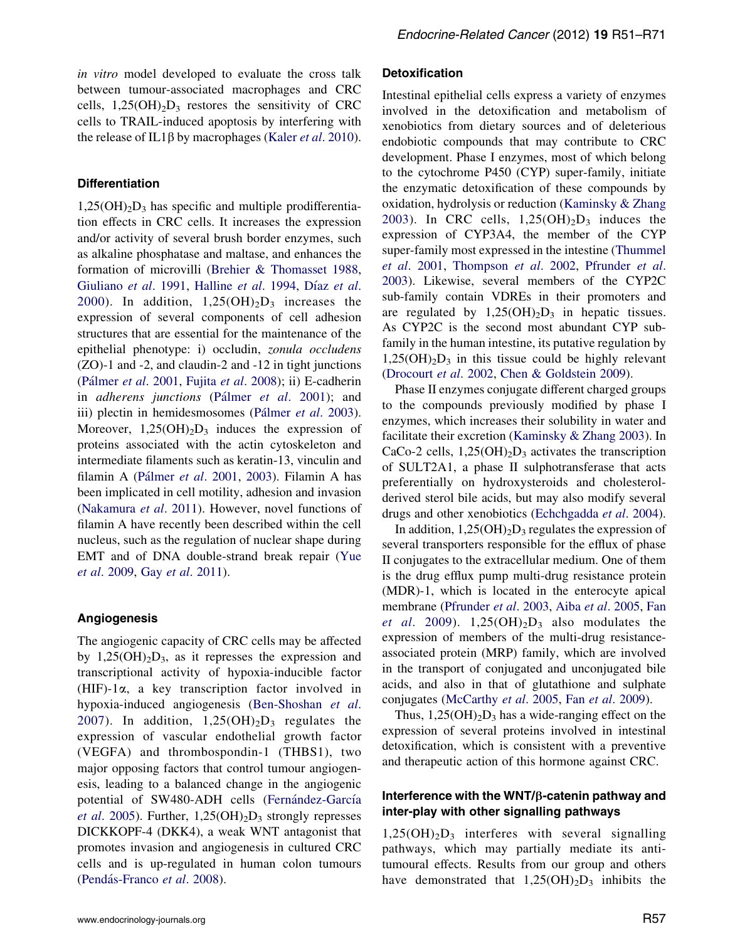in vitro model developed to evaluate the cross talk between tumour-associated macrophages and CRC cells,  $1,25(OH)_{2}D_{3}$  restores the sensitivity of CRC cells to TRAIL-induced apoptosis by interfering with the release of IL1 $\beta$  by macrophages (Kaler *et al.* 2010).

#### **Differentiation**

 $1,25(OH)_{2}D_{3}$  has specific and multiple prodifferentiation effects in CRC cells. It increases the expression and/or activity of several brush border enzymes, such as alkaline phosphatase and maltase, and enhances the formation of microvilli ([Brehier & Thomasset 1988](#page-13-0), [Giuliano](#page-15-0) et al. 1991, [Halline](#page-15-0) [et al](#page-13-0). 1994, Díaz et al. [2000\)](#page-13-0). In addition,  $1,25(OH)_2D_3$  increases the expression of several components of cell adhesion structures that are essential for the maintenance of the epithelial phenotype: i) occludin, zonula occludens (ZO)-1 and -2, and claudin-2 and -12 in tight junctions (Pálmer et al. 2001, Fujita et al[. 2008\)](#page-14-0); ii) E-cadherin in *adherens junctions* (Pálmer et al[. 2001\)](#page-18-0); and iii) plectin in hemidesmosomes (Pálmer et al. 2003). Moreover,  $1,25(OH)_{2}D_{3}$  induces the expression of proteins associated with the actin cytoskeleton and intermediate filaments such as keratin-13, vinculin and filamin A (Pálmer et al. 2001, [2003\)](#page-18-0). Filamin A has been implicated in cell motility, adhesion and invasion [\(Nakamura](#page-17-0) et al. 2011). However, novel functions of filamin A have recently been described within the cell nucleus, such as the regulation of nuclear shape during EMT and of DNA double-strand break repair [\(Yue](#page-20-0) et al[. 2009](#page-20-0), Gay et al[. 2011\)](#page-15-0).

#### Angiogenesis

The angiogenic capacity of CRC cells may be affected by  $1,25(OH)<sub>2</sub>D<sub>3</sub>$ , as it represses the expression and transcriptional activity of hypoxia-inducible factor  $(HIF)$ -1 $\alpha$ , a key transcription factor involved in hypoxia-induced angiogenesis [\(Ben-Shoshan](#page-13-0) et al. [2007\)](#page-13-0). In addition,  $1,25(OH)_{2}D_{3}$  regulates the expression of vascular endothelial growth factor (VEGFA) and thrombospondin-1 (THBS1), two major opposing factors that control tumour angiogenesis, leading to a balanced change in the angiogenic potential of SW480-ADH cells (Fernández-García *et al.* 2005). Further,  $1,25(OH)<sub>2</sub>D<sub>3</sub>$  strongly represses DICKKOPF-4 (DKK4), a weak WNT antagonist that promotes invasion and angiogenesis in cultured CRC cells and is up-regulated in human colon tumours (Pendás-Franco et al. 2008).

#### Detoxification

Intestinal epithelial cells express a variety of enzymes involved in the detoxification and metabolism of xenobiotics from dietary sources and of deleterious endobiotic compounds that may contribute to CRC development. Phase I enzymes, most of which belong to the cytochrome P450 (CYP) super-family, initiate the enzymatic detoxification of these compounds by oxidation, hydrolysis or reduction [\(Kaminsky & Zhang](#page-16-0) [2003\)](#page-16-0). In CRC cells,  $1,25(OH)<sub>2</sub>D<sub>3</sub>$  induces the expression of CYP3A4, the member of the CYP super-family most expressed in the intestine [\(Thummel](#page-19-0) et al[. 2001](#page-19-0), [Thompson](#page-19-0) et al. 2002, [Pfrunder](#page-18-0) et al. [2003\)](#page-18-0). Likewise, several members of the CYP2C sub-family contain VDREs in their promoters and are regulated by  $1,25(OH)<sub>2</sub>D<sub>3</sub>$  in hepatic tissues. As CYP2C is the second most abundant CYP subfamily in the human intestine, its putative regulation by  $1,25(OH)<sub>2</sub>D<sub>3</sub>$  in this tissue could be highly relevant [\(Drocourt](#page-14-0) et al. 2002, [Chen & Goldstein 2009](#page-13-0)).

Phase II enzymes conjugate different charged groups to the compounds previously modified by phase I enzymes, which increases their solubility in water and facilitate their excretion [\(Kaminsky & Zhang 2003\)](#page-16-0). In CaCo-2 cells,  $1,25(OH)_{2}D_{3}$  activates the transcription of SULT2A1, a phase II sulphotransferase that acts preferentially on hydroxysteroids and cholesterolderived sterol bile acids, but may also modify several drugs and other xenobiotics [\(Echchgadda](#page-14-0) et al. 2004).

In addition,  $1,25(OH)<sub>2</sub>D<sub>3</sub>$  regulates the expression of several transporters responsible for the efflux of phase II conjugates to the extracellular medium. One of them is the drug efflux pump multi-drug resistance protein (MDR)-1, which is located in the enterocyte apical membrane [\(Pfrunder](#page-18-0) et al. 2003, Aiba et al[. 2005,](#page-12-0) [Fan](#page-14-0) et al[. 2009](#page-14-0)).  $1,25(OH)<sub>2</sub>D<sub>3</sub>$  also modulates the expression of members of the multi-drug resistanceassociated protein (MRP) family, which are involved in the transport of conjugated and unconjugated bile acids, and also in that of glutathione and sulphate conjugates [\(McCarthy](#page-17-0) et al. 2005, Fan et al[. 2009](#page-14-0)).

Thus,  $1,25(OH)_2D_3$  has a wide-ranging effect on the expression of several proteins involved in intestinal detoxification, which is consistent with a preventive and therapeutic action of this hormone against CRC.

#### Interference with the WNT/*b*-catenin pathway and inter-play with other signalling pathways

 $1,25(OH)_{2}D_{3}$  interferes with several signalling pathways, which may partially mediate its antitumoural effects. Results from our group and others have demonstrated that  $1,25(OH)_2D_3$  inhibits the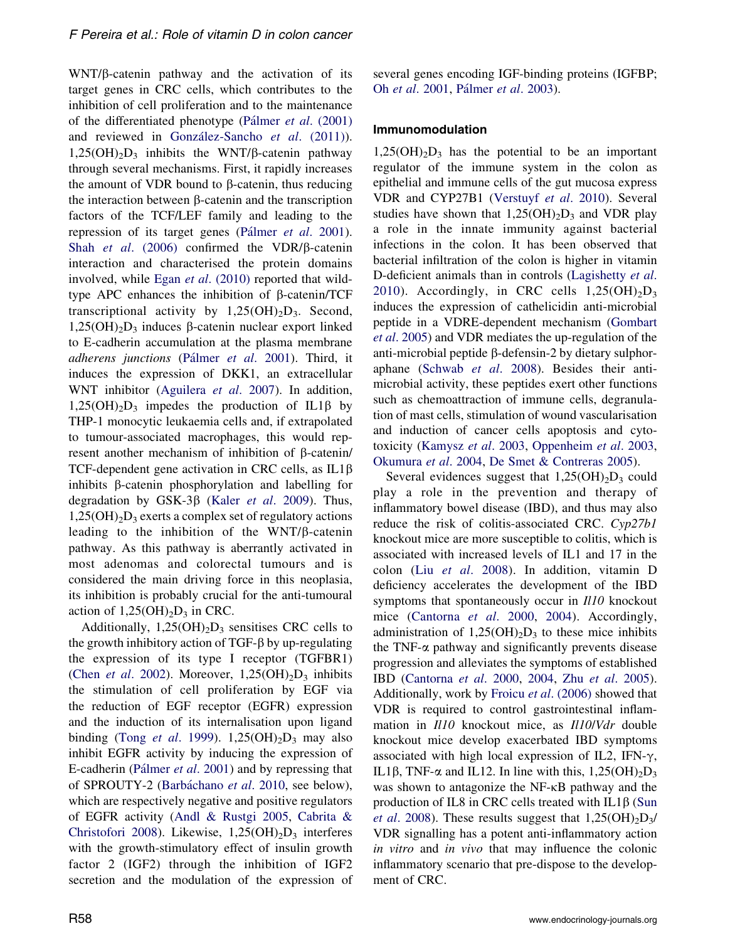WNT/ $\beta$ -catenin pathway and the activation of its target genes in CRC cells, which contributes to the inhibition of cell proliferation and to the maintenance of the differentiated phenotype (Pálmer et al.  $(2001)$ ) and reviewed in González-Sancho et al. (2011)).  $1,25(OH)_{2}D_{3}$  inhibits the WNT/ $\beta$ -catenin pathway through several mechanisms. First, it rapidly increases the amount of VDR bound to  $\beta$ -catenin, thus reducing the interaction between  $\beta$ -catenin and the transcription factors of the TCF/LEF family and leading to the repression of its target genes (Pálmer et al. 2001). Shah et al.  $(2006)$  confirmed the VDR/ $\beta$ -catenin interaction and characterised the protein domains involved, while Egan et al[. \(2010\)](#page-14-0) reported that wildtype APC enhances the inhibition of  $\beta$ -catenin/TCF transcriptional activity by  $1,25(OH)_2D_3$ . Second,  $1,25(OH)<sub>2</sub>D<sub>3</sub>$  induces  $\beta$ -catenin nuclear export linked to E-cadherin accumulation at the plasma membrane adherens junctions (Pálmer et al. 2001). Third, it induces the expression of DKK1, an extracellular WNT inhibitor ([Aguilera](#page-12-0) et al. 2007). In addition,  $1,25(OH)_{2}D_{3}$  impedes the production of IL1 $\beta$  by THP-1 monocytic leukaemia cells and, if extrapolated to tumour-associated macrophages, this would represent another mechanism of inhibition of  $\beta$ -catenin/ TCF-dependent gene activation in CRC cells, as  $IL1\beta$ inhibits b-catenin phosphorylation and labelling for degradation by GSK-3 $\beta$  (Kaler et al[. 2009\)](#page-16-0). Thus,  $1,25(OH)<sub>2</sub>D<sub>3</sub>$  exerts a complex set of regulatory actions leading to the inhibition of the  $WNT/\beta$ -catenin pathway. As this pathway is aberrantly activated in most adenomas and colorectal tumours and is considered the main driving force in this neoplasia, its inhibition is probably crucial for the anti-tumoural action of  $1,25(OH)_{2}D_{3}$  in CRC.

Additionally,  $1,25(OH)_2D_3$  sensitises CRC cells to the growth inhibitory action of TGF- $\beta$  by up-regulating the expression of its type I receptor (TGFBR1) (Chen et al[. 2002](#page-13-0)). Moreover,  $1,25(OH)_2D_3$  inhibits the stimulation of cell proliferation by EGF via the reduction of EGF receptor (EGFR) expression and the induction of its internalisation upon ligand binding (Tong et al[. 1999](#page-19-0)).  $1,25(OH)_2D_3$  may also inhibit EGFR activity by inducing the expression of E-cadherin (Pálmer et al. 2001) and by repressing that of SPROUTY-2 (Barbáchano et al. 2010, see below), which are respectively negative and positive regulators of EGFR activity ([Andl & Rustgi 2005,](#page-12-0) [Cabrita &](#page-13-0) [Christofori 2008\)](#page-13-0). Likewise,  $1,25(OH)<sub>2</sub>D<sub>3</sub>$  interferes with the growth-stimulatory effect of insulin growth factor 2 (IGF2) through the inhibition of IGF2 secretion and the modulation of the expression of several genes encoding IGF-binding proteins (IGFBP; Oh et al[. 2001,](#page-17-0) Pálmer et al. 2003).

#### Immunomodulation

 $1,25(OH)<sub>2</sub>D<sub>3</sub>$  has the potential to be an important regulator of the immune system in the colon as epithelial and immune cells of the gut mucosa express VDR and CYP27B1 [\(Verstuyf](#page-19-0) et al. 2010). Several studies have shown that  $1,25(OH)_{2}D_{3}$  and VDR play a role in the innate immunity against bacterial infections in the colon. It has been observed that bacterial infiltration of the colon is higher in vitamin D-deficient animals than in controls ([Lagishetty](#page-16-0) et al. [2010\)](#page-16-0). Accordingly, in CRC cells  $1,25(OH)_{2}D_{3}$ induces the expression of cathelicidin anti-microbial peptide in a VDRE-dependent mechanism ([Gombart](#page-15-0) et al[. 2005](#page-15-0)) and VDR mediates the up-regulation of the anti-microbial peptide  $\beta$ -defensin-2 by dietary sulphoraphane [\(Schwab](#page-18-0) et al. 2008). Besides their antimicrobial activity, these peptides exert other functions such as chemoattraction of immune cells, degranulation of mast cells, stimulation of wound vascularisation and induction of cancer cells apoptosis and cytotoxicity [\(Kamysz](#page-16-0) et al. 2003, [Oppenheim](#page-17-0) et al. 2003, [Okumura](#page-17-0) et al. 2004, [De Smet & Contreras 2005\)](#page-13-0).

Several evidences suggest that  $1,25(OH)_{2}D_{3}$  could play a role in the prevention and therapy of inflammatory bowel disease (IBD), and thus may also reduce the risk of colitis-associated CRC. Cyp27b1 knockout mice are more susceptible to colitis, which is associated with increased levels of IL1 and 17 in the colon (Liu et al[. 2008](#page-17-0)). In addition, vitamin D deficiency accelerates the development of the IBD symptoms that spontaneously occur in  $II10$  knockout mice ([Cantorna](#page-13-0) et al. 2000, [2004\)](#page-13-0). Accordingly, administration of  $1,25(OH)<sub>2</sub>D<sub>3</sub>$  to these mice inhibits the TNF- $\alpha$  pathway and significantly prevents disease progression and alleviates the symptoms of established IBD ([Cantorna](#page-13-0) et al. 2000, [2004](#page-13-0), Zhu et al[. 2005](#page-20-0)). Additionally, work by Froicu et al[. \(2006\)](#page-14-0) showed that VDR is required to control gastrointestinal inflammation in Il10 knockout mice, as Il10/Vdr double knockout mice develop exacerbated IBD symptoms associated with high local expression of IL2, IFN- $\gamma$ , IL1 $\beta$ , TNF- $\alpha$  and IL12. In line with this, 1,25(OH)<sub>2</sub>D<sub>3</sub> was shown to antagonize the NF- $\kappa$ B pathway and the production of IL8 in CRC cells treated with  $IL1\beta$  ([Sun](#page-19-0) *et al.* 2008). These results suggest that  $1,25(OH)_{2}D_{3}/$ VDR signalling has a potent anti-inflammatory action in vitro and in vivo that may influence the colonic inflammatory scenario that pre-dispose to the development of CRC.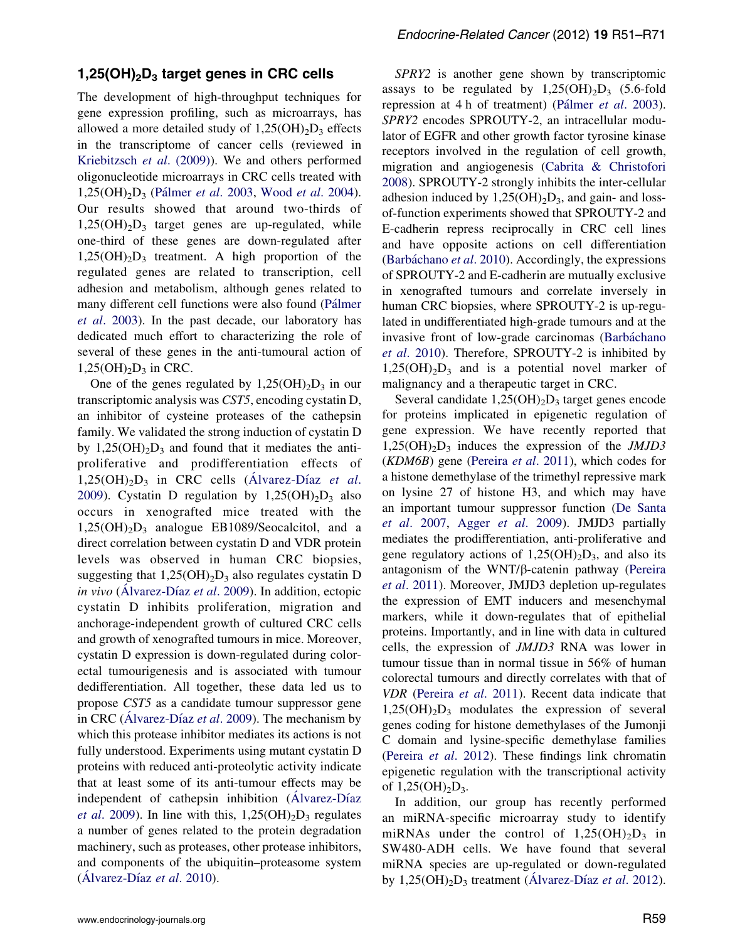# $1,25(OH)<sub>2</sub>D<sub>3</sub>$  target genes in CRC cells

The development of high-throughput techniques for gene expression profiling, such as microarrays, has allowed a more detailed study of  $1,25(OH)_{2}D_{3}$  effects in the transcriptome of cancer cells (reviewed in [Kriebitzsch](#page-16-0) et al. (2009)). We and others performed oligonucleotide microarrays in CRC cells treated with 1,25(OH)<sub>2</sub>D<sub>3</sub> (Pálmer et al. 2003, Wood et al[. 2004](#page-19-0)). Our results showed that around two-thirds of  $1,25(OH)<sub>2</sub>D<sub>3</sub>$  target genes are up-regulated, while one-third of these genes are down-regulated after  $1,25(OH)<sub>2</sub>D<sub>3</sub>$  treatment. A high proportion of the regulated genes are related to transcription, cell adhesion and metabolism, although genes related to many different cell functions were also found (Pálmer et al[. 2003](#page-18-0)). In the past decade, our laboratory has dedicated much effort to characterizing the role of several of these genes in the anti-tumoural action of  $1,25(OH)<sub>2</sub>D<sub>3</sub>$  in CRC.

One of the genes regulated by  $1,25(OH)<sub>2</sub>D<sub>3</sub>$  in our transcriptomic analysis was CST5, encoding cystatin D, an inhibitor of cysteine proteases of the cathepsin family. We validated the strong induction of cystatin D by  $1,25(OH)<sub>2</sub>D<sub>3</sub>$  and found that it mediates the antiproliferative and prodifferentiation effects of  $1,25(OH)<sub>2</sub>D<sub>3</sub>$  in CRC cells (Alvarez-Díaz et al. [2009\)](#page-12-0). Cystatin D regulation by  $1,25(OH)_{2}D_{3}$  also occurs in xenografted mice treated with the  $1,25(OH)<sub>2</sub>D<sub>3</sub>$  analogue EB1089/Seocalcitol, and a direct correlation between cystatin D and VDR protein levels was observed in human CRC biopsies, suggesting that  $1,25(OH)_2D_3$  also regulates cystatin D in vivo (Alvarez-Díaz et al. 2009). In addition, ectopic cystatin D inhibits proliferation, migration and anchorage-independent growth of cultured CRC cells and growth of xenografted tumours in mice. Moreover, cystatin D expression is down-regulated during colorectal tumourigenesis and is associated with tumour dedifferentiation. All together, these data led us to propose CST5 as a candidate tumour suppressor gene in CRC (Alvarez-Díaz et al. 2009). The mechanism by which this protease inhibitor mediates its actions is not fully understood. Experiments using mutant cystatin D proteins with reduced anti-proteolytic activity indicate that at least some of its anti-tumour effects may be independent of cathepsin inhibition (Alvarez-Díaz et al[. 2009](#page-12-0)). In line with this,  $1,25(OH)_2D_3$  regulates a number of genes related to the protein degradation machinery, such as proteases, other protease inhibitors, and components of the ubiquitin–proteasome system  $(A)$  lvarez-Díaz et al. 2010).

SPRY2 is another gene shown by transcriptomic assays to be regulated by  $1,25(OH)_{2}D_{3}$  (5.6-fold repression at 4 h of treatment) (Pálmer et al. 2003). SPRY2 encodes SPROUTY-2, an intracellular modulator of EGFR and other growth factor tyrosine kinase receptors involved in the regulation of cell growth, migration and angiogenesis [\(Cabrita & Christofori](#page-13-0) [2008\)](#page-13-0). SPROUTY-2 strongly inhibits the inter-cellular adhesion induced by  $1,25(OH)_2D_3$ , and gain- and lossof-function experiments showed that SPROUTY-2 and E-cadherin repress reciprocally in CRC cell lines and have opposite actions on cell differentiation (Barbáchano et al. 2010). Accordingly, the expressions of SPROUTY-2 and E-cadherin are mutually exclusive in xenografted tumours and correlate inversely in human CRC biopsies, where SPROUTY-2 is up-regulated in undifferentiated high-grade tumours and at the invasive front of low-grade carcinomas (Barbáchano et al[. 2010](#page-12-0)). Therefore, SPROUTY-2 is inhibited by  $1,25(OH)_{2}D_{3}$  and is a potential novel marker of malignancy and a therapeutic target in CRC.

Several candidate  $1,25(OH)_2D_3$  target genes encode for proteins implicated in epigenetic regulation of gene expression. We have recently reported that  $1,25(OH)<sub>2</sub>D<sub>3</sub>$  induces the expression of the *JMJD3* (KDM6B) gene ([Pereira](#page-18-0) et al. 2011), which codes for a histone demethylase of the trimethyl repressive mark on lysine 27 of histone H3, and which may have an important tumour suppressor function [\(De Santa](#page-13-0) et al[. 2007,](#page-13-0) Agger et al[. 2009\)](#page-12-0). JMJD3 partially mediates the prodifferentiation, anti-proliferative and gene regulatory actions of  $1,25(OH)_2D_3$ , and also its antagonism of the  $WNT/\beta$ -catenin pathway ([Pereira](#page-18-0) et al[. 2011\)](#page-18-0). Moreover, JMJD3 depletion up-regulates the expression of EMT inducers and mesenchymal markers, while it down-regulates that of epithelial proteins. Importantly, and in line with data in cultured cells, the expression of JMJD3 RNA was lower in tumour tissue than in normal tissue in 56% of human colorectal tumours and directly correlates with that of VDR ([Pereira](#page-18-0) et al. 2011). Recent data indicate that  $1,25(OH)<sub>2</sub>D<sub>3</sub>$  modulates the expression of several genes coding for histone demethylases of the Jumonji C domain and lysine-specific demethylase families [\(Pereira](#page-18-0) et al. 2012). These findings link chromatin epigenetic regulation with the transcriptional activity of  $1,25(OH)_{2}D_{3}$ .

In addition, our group has recently performed an miRNA-specific microarray study to identify miRNAs under the control of  $1,25(OH)_{2}D_{3}$  in SW480-ADH cells. We have found that several miRNA species are up-regulated or down-regulated by  $1,25(OH)<sub>2</sub>D<sub>3</sub>$  treatment (Alvarez-Díaz *et al.* 2012).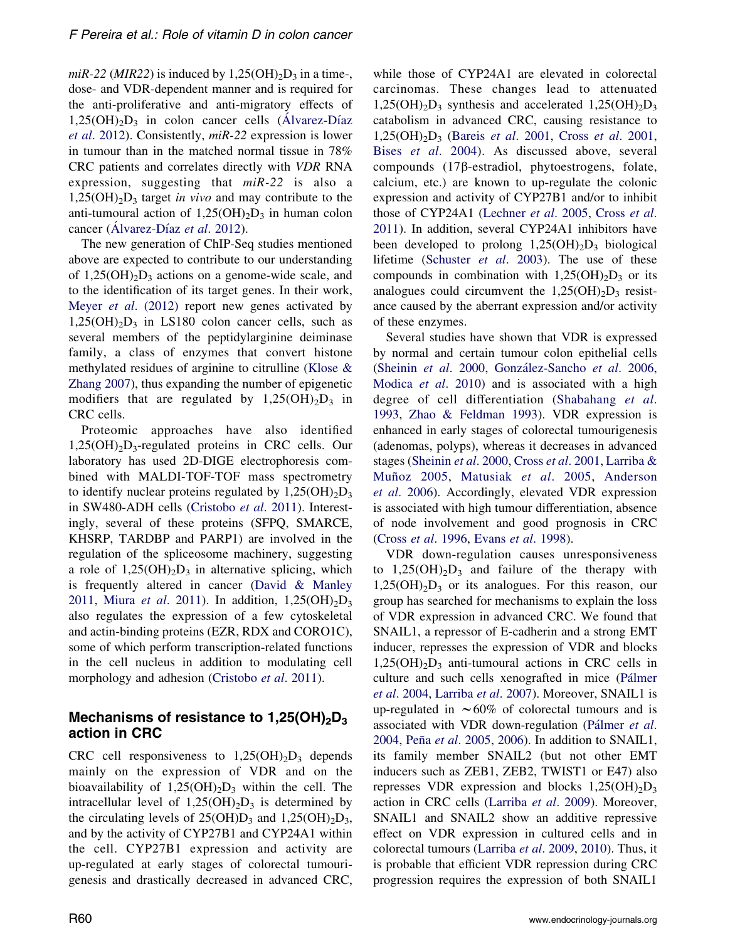miR-22 (MIR22) is induced by  $1,25(OH)<sub>2</sub>D<sub>3</sub>$  in a time-, dose- and VDR-dependent manner and is required for the anti-proliferative and anti-migratory effects of  $1,25(OH)_{2}D_{3}$  in colon cancer cells (Alvarez-Díaz et al[. 2012\)](#page-12-0). Consistently, miR-22 expression is lower in tumour than in the matched normal tissue in 78% CRC patients and correlates directly with VDR RNA expression, suggesting that  $miR-22$  is also a  $1,25(OH)_{2}D_{3}$  target *in vivo* and may contribute to the anti-tumoural action of  $1,25(OH)_{2}D_{3}$  in human colon cancer (Alvarez-Díaz et al. 2012).

The new generation of ChIP-Seq studies mentioned above are expected to contribute to our understanding of  $1,25(OH)<sub>2</sub>D<sub>3</sub>$  actions on a genome-wide scale, and to the identification of its target genes. In their work, Meyer *et al.* (2012) report new genes activated by  $1,25(OH)<sub>2</sub>D<sub>3</sub>$  in LS180 colon cancer cells, such as several members of the peptidylarginine deiminase family, a class of enzymes that convert histone methylated residues of arginine to citrulline ([Klose &](#page-16-0) [Zhang 2007\)](#page-16-0), thus expanding the number of epigenetic modifiers that are regulated by  $1,25(OH)_{2}D_{3}$  in CRC cells.

Proteomic approaches have also identified  $1,25(OH)<sub>2</sub>D<sub>3</sub>$ -regulated proteins in CRC cells. Our laboratory has used 2D-DIGE electrophoresis combined with MALDI-TOF-TOF mass spectrometry to identify nuclear proteins regulated by  $1,25(OH)<sub>2</sub>D<sub>3</sub>$ in SW480-ADH cells [\(Cristobo](#page-13-0) et al. 2011). Interestingly, several of these proteins (SFPQ, SMARCE, KHSRP, TARDBP and PARP1) are involved in the regulation of the spliceosome machinery, suggesting a role of  $1,25(OH)_2D_3$  in alternative splicing, which is frequently altered in cancer ([David & Manley](#page-13-0) [2011,](#page-13-0) Miura *et al.* 2011). In addition,  $1,25(OH)_{2}D_{3}$ also regulates the expression of a few cytoskeletal and actin-binding proteins (EZR, RDX and CORO1C), some of which perform transcription-related functions in the cell nucleus in addition to modulating cell morphology and adhesion [\(Cristobo](#page-13-0) et al. 2011).

# Mechanisms of resistance to  $1,25(OH)<sub>2</sub>D<sub>3</sub>$ action in CRC

CRC cell responsiveness to  $1,25(OH)_2D_3$  depends mainly on the expression of VDR and on the bioavailability of  $1,25(OH)_2D_3$  within the cell. The intracellular level of  $1,25(OH)_2D_3$  is determined by the circulating levels of  $25(OH)D_3$  and  $1,25(OH)_2D_3$ , and by the activity of CYP27B1 and CYP24A1 within the cell. CYP27B1 expression and activity are up-regulated at early stages of colorectal tumourigenesis and drastically decreased in advanced CRC, while those of CYP24A1 are elevated in colorectal carcinomas. These changes lead to attenuated  $1,25(OH)<sub>2</sub>D<sub>3</sub>$  synthesis and accelerated  $1,25(OH)<sub>2</sub>D<sub>3</sub>$ catabolism in advanced CRC, causing resistance to  $1,25(OH)<sub>2</sub>D<sub>3</sub>$  (Bareis *et al.* 2001, Cross *et al.* 2001, Bises et al[. 2004](#page-13-0)). As discussed above, several compounds (17b-estradiol, phytoestrogens, folate, calcium, etc.) are known to up-regulate the colonic expression and activity of CYP27B1 and/or to inhibit those of CYP24A1 ([Lechner](#page-17-0) et al. 2005, [Cross](#page-13-0) et al. [2011\)](#page-13-0). In addition, several CYP24A1 inhibitors have been developed to prolong  $1,25(OH)_2D_3$  biological lifetime ([Schuster](#page-18-0) et al. 2003). The use of these compounds in combination with  $1,25(OH)<sub>2</sub>D<sub>3</sub>$  or its analogues could circumvent the  $1,25(OH)_{2}D_{3}$  resistance caused by the aberrant expression and/or activity of these enzymes.

Several studies have shown that VDR is expressed by normal and certain tumour colon epithelial cells [\(Sheinin](#page-19-0) et al. 2000, González-Sancho et al. 2006, [Modica](#page-17-0) et al. 2010) and is associated with a high degree of cell differentiation ([Shabahang](#page-18-0) et al. [1993,](#page-18-0) [Zhao & Feldman 1993](#page-20-0)). VDR expression is enhanced in early stages of colorectal tumourigenesis (adenomas, polyps), whereas it decreases in advanced stages ([Sheinin](#page-19-0) et al. 2000, Cross et al[. 2001](#page-13-0), [Larriba &](#page-16-0) Muñoz 2005, [Matusiak](#page-17-0) et al. 2005, [Anderson](#page-12-0) et al[. 2006](#page-12-0)). Accordingly, elevated VDR expression is associated with high tumour differentiation, absence of node involvement and good prognosis in CRC (Cross et al[. 1996,](#page-13-0) Evans et al[. 1998\)](#page-14-0).

VDR down-regulation causes unresponsiveness to  $1,25(OH)<sub>2</sub>D<sub>3</sub>$  and failure of the therapy with  $1,25(OH)<sub>2</sub>D<sub>3</sub>$  or its analogues. For this reason, our group has searched for mechanisms to explain the loss of VDR expression in advanced CRC. We found that SNAIL1, a repressor of E-cadherin and a strong EMT inducer, represses the expression of VDR and blocks  $1,25(OH)<sub>2</sub>D<sub>3</sub>$  anti-tumoural actions in CRC cells in culture and such cells xenografted in mice (Pálmer et al[. 2004,](#page-18-0) [Larriba](#page-16-0) et al. 2007). Moreover, SNAIL1 is up-regulated in  $\sim 60\%$  of colorectal tumours and is associated with VDR down-regulation (Pálmer et al. [2004,](#page-18-0) Peña et al[. 2005,](#page-18-0) [2006](#page-18-0)). In addition to SNAIL1, its family member SNAIL2 (but not other EMT inducers such as ZEB1, ZEB2, TWIST1 or E47) also represses VDR expression and blocks  $1,25(OH)_{2}D_{3}$ action in CRC cells [\(Larriba](#page-16-0) et al. 2009). Moreover, SNAIL1 and SNAIL2 show an additive repressive effect on VDR expression in cultured cells and in colorectal tumours ([Larriba](#page-16-0) et al. 2009, [2010](#page-16-0)). Thus, it is probable that efficient VDR repression during CRC progression requires the expression of both SNAIL1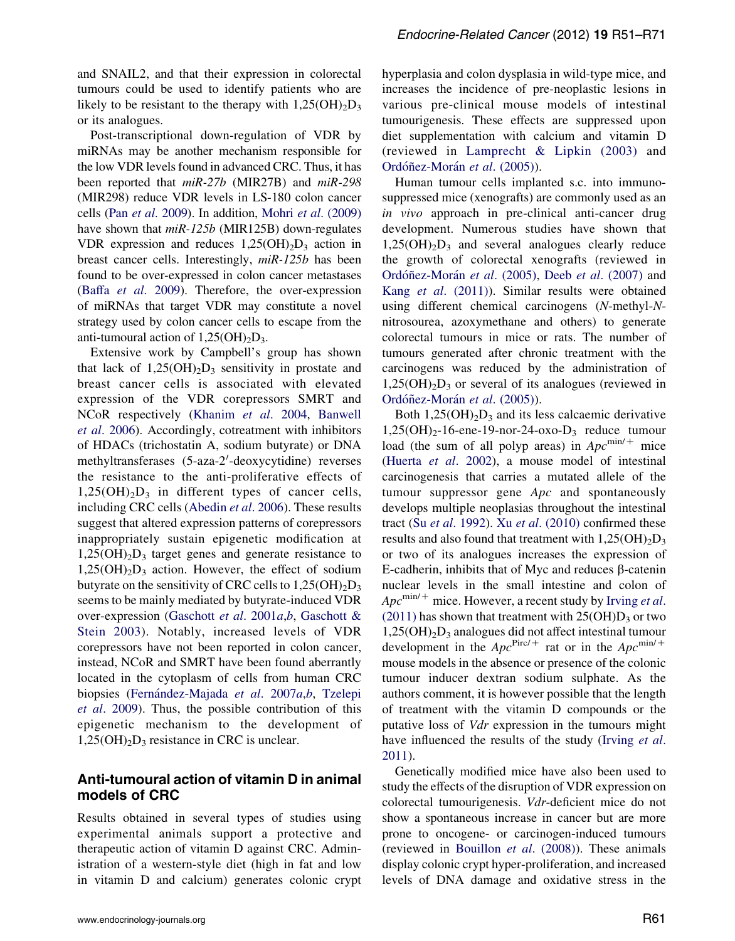and SNAIL2, and that their expression in colorectal tumours could be used to identify patients who are likely to be resistant to the therapy with  $1,25(OH)_{2}D_{3}$ or its analogues.

Post-transcriptional down-regulation of VDR by miRNAs may be another mechanism responsible for the low VDR levels found in advanced CRC. Thus, it has been reported that  $miR-27b$  (MIR27B) and  $miR-298$ (MIR298) reduce VDR levels in LS-180 colon cancer cells (Pan et al[. 2009\)](#page-18-0). In addition, Mohri et al[. \(2009\)](#page-17-0) have shown that  $miR-125b$  (MIR125B) down-regulates VDR expression and reduces  $1,25(OH)<sub>2</sub>D<sub>3</sub>$  action in breast cancer cells. Interestingly, miR-125b has been found to be over-expressed in colon cancer metastases (Baffa et al[. 2009](#page-12-0)). Therefore, the over-expression of miRNAs that target VDR may constitute a novel strategy used by colon cancer cells to escape from the anti-tumoural action of  $1,25(OH)<sub>2</sub>D<sub>3</sub>$ .

Extensive work by Campbell's group has shown that lack of  $1,25(OH)_{2}D_{3}$  sensitivity in prostate and breast cancer cells is associated with elevated expression of the VDR corepressors SMRT and NCoR respectively [\(Khanim](#page-16-0) et al. 2004, [Banwell](#page-12-0) et al[. 2006](#page-12-0)). Accordingly, cotreatment with inhibitors of HDACs (trichostatin A, sodium butyrate) or DNA methyltransferases (5-aza-2'-deoxycytidine) reverses the resistance to the anti-proliferative effects of  $1,25(OH)<sub>2</sub>D<sub>3</sub>$  in different types of cancer cells, including CRC cells ([Abedin](#page-12-0) et al. 2006). These results suggest that altered expression patterns of corepressors inappropriately sustain epigenetic modification at  $1,25(OH)_{2}D_{3}$  target genes and generate resistance to  $1,25(OH)<sub>2</sub>D<sub>3</sub>$  action. However, the effect of sodium butyrate on the sensitivity of CRC cells to  $1,25(OH)_{2}D_{3}$ seems to be mainly mediated by butyrate-induced VDR over-expression [\(Gaschott](#page-14-0) et al. 2001a,[b](#page-15-0), [Gaschott &](#page-14-0) [Stein 2003](#page-14-0)). Notably, increased levels of VDR corepressors have not been reported in colon cancer, instead, NCoR and SMRT have been found aberrantly located in the cytoplasm of cells from human CRC [b](#page-14-0)iopsies (Fernández-Majada et al. 2007a,b, [Tzelepi](#page-19-0) et al[. 2009](#page-19-0)). Thus, the possible contribution of this epigenetic mechanism to the development of  $1,25(OH)_{2}D_{3}$  resistance in CRC is unclear.

# Anti-tumoural action of vitamin D in animal models of CRC

Results obtained in several types of studies using experimental animals support a protective and therapeutic action of vitamin D against CRC. Administration of a western-style diet (high in fat and low in vitamin D and calcium) generates colonic crypt hyperplasia and colon dysplasia in wild-type mice, and increases the incidence of pre-neoplastic lesions in various pre-clinical mouse models of intestinal tumourigenesis. These effects are suppressed upon diet supplementation with calcium and vitamin D (reviewed in [Lamprecht & Lipkin \(2003\)](#page-16-0) and Ordóñez-Morán et al. (2005)).

Human tumour cells implanted s.c. into immunosuppressed mice (xenografts) are commonly used as an in vivo approach in pre-clinical anti-cancer drug development. Numerous studies have shown that  $1,25(OH)_{2}D_{3}$  and several analogues clearly reduce the growth of colorectal xenografts (reviewed in Ordóñez-Morán et al. (2005), Deeb et al[. \(2007\)](#page-13-0) and Kang et al[. \(2011\)\)](#page-16-0). Similar results were obtained using different chemical carcinogens (N-methyl-Nnitrosourea, azoxymethane and others) to generate colorectal tumours in mice or rats. The number of tumours generated after chronic treatment with the carcinogens was reduced by the administration of  $1,25(OH)_{2}D_{3}$  or several of its analogues (reviewed in Ordóñez-Morán et al. (2005)).

Both  $1,25(OH)<sub>2</sub>D<sub>3</sub>$  and its less calcaemic derivative  $1,25(OH)<sub>2</sub>$ -16-ene-19-nor-24-oxo-D<sub>3</sub> reduce tumour load (the sum of all polyp areas) in  $Apc^{\text{min}/+}$  mice (Huerta et al[. 2002\)](#page-15-0), a mouse model of intestinal carcinogenesis that carries a mutated allele of the tumour suppressor gene  $Apc$  and spontaneously develops multiple neoplasias throughout the intestinal tract (Su *et al.* 1992). Xu *et al.* (2010) confirmed these results and also found that treatment with  $1,25(OH)_{2}D_{3}$ or two of its analogues increases the expression of E-cadherin, inhibits that of Myc and reduces  $\beta$ -catenin nuclear levels in the small intestine and colon of  $Apc^{\text{min}/+}$  mice. However, a recent study by [Irving](#page-15-0) et al.  $(2011)$  has shown that treatment with  $25(OH)D_3$  or two  $1,25(OH)_{2}D_{3}$  analogues did not affect intestinal tumour development in the  $Apc^{\text{Pic}/+}$  rat or in the  $Apc^{\text{min}/+}$ mouse models in the absence or presence of the colonic tumour inducer dextran sodium sulphate. As the authors comment, it is however possible that the length of treatment with the vitamin D compounds or the putative loss of Vdr expression in the tumours might have influenced the results of the study ([Irving](#page-15-0) et al. [2011\)](#page-15-0).

Genetically modified mice have also been used to study the effects of the disruption of VDR expression on colorectal tumourigenesis. Vdr-deficient mice do not show a spontaneous increase in cancer but are more prone to oncogene- or carcinogen-induced tumours (reviewed in [Bouillon](#page-13-0) et al. (2008)). These animals display colonic crypt hyper-proliferation, and increased levels of DNA damage and oxidative stress in the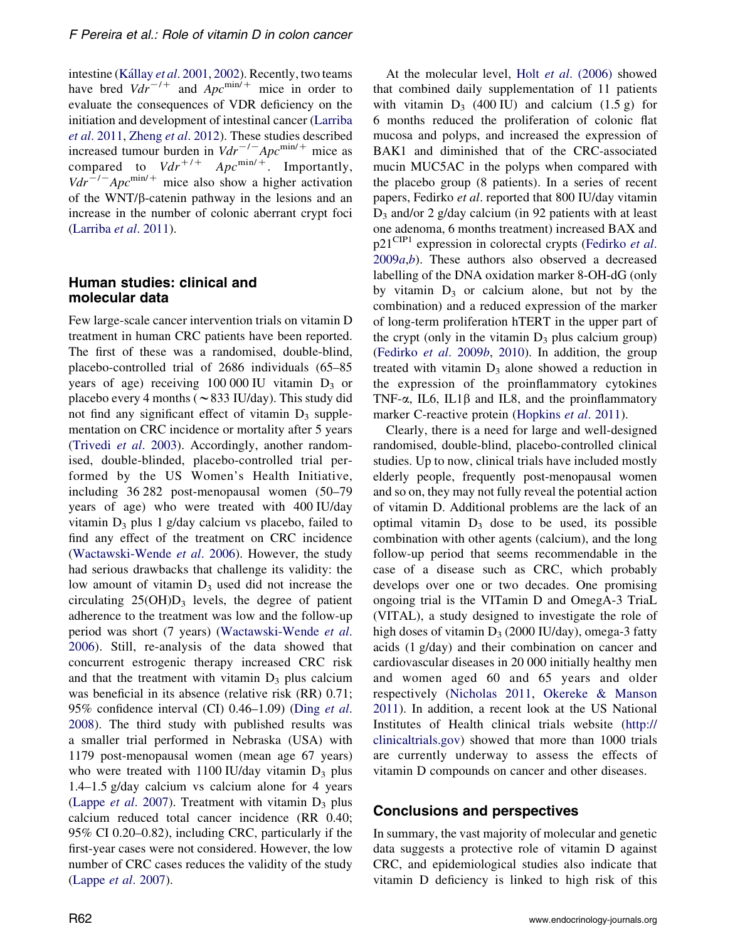intestine (Kállay et al. 2001, [2002\)](#page-16-0). Recently, two teams have bred  $Vdr^{-1}$  and  $Apc^{\text{min}/+}$  mice in order to evaluate the consequences of VDR deficiency on the initiation and development of intestinal cancer ([Larriba](#page-16-0) et al[. 2011,](#page-16-0) [Zheng](#page-20-0) et al. 2012). These studies described increased tumour burden in  $Vdr^{-/-}Apc^{\text{min}/+}$  mice as compared to  $Vdr^{+/+}$  Apc<sup>min/+</sup>. Importantly,  $Vdr^{-1}$  Apc<sup>min/+</sup> mice also show a higher activation of the WNT/ $\beta$ -catenin pathway in the lesions and an increase in the number of colonic aberrant crypt foci [\(Larriba](#page-16-0) et al. 2011).

# Human studies: clinical and molecular data

Few large-scale cancer intervention trials on vitamin D treatment in human CRC patients have been reported. The first of these was a randomised, double-blind, placebo-controlled trial of 2686 individuals (65–85 years of age) receiving  $100\,000$  IU vitamin  $D_3$  or placebo every 4 months ( $\sim$  833 IU/day). This study did not find any significant effect of vitamin  $D_3$  supplementation on CRC incidence or mortality after 5 years [\(Trivedi](#page-19-0) et al. 2003). Accordingly, another randomised, double-blinded, placebo-controlled trial performed by the US Women's Health Initiative, including 36 282 post-menopausal women (50–79 years of age) who were treated with 400 IU/day vitamin  $D_3$  plus 1 g/day calcium vs placebo, failed to find any effect of the treatment on CRC incidence [\(Wactawski-Wende](#page-19-0) et al. 2006). However, the study had serious drawbacks that challenge its validity: the low amount of vitamin  $D_3$  used did not increase the circulating  $25(OH)D_3$  levels, the degree of patient adherence to the treatment was low and the follow-up period was short (7 years) [\(Wactawski-Wende](#page-19-0) et al. [2006](#page-19-0)). Still, re-analysis of the data showed that concurrent estrogenic therapy increased CRC risk and that the treatment with vitamin  $D_3$  plus calcium was beneficial in its absence (relative risk (RR) 0.71; 95% confidence interval (CI)  $0.46-1.09$ ) [\(Ding](#page-13-0) *et al.* [2008\)](#page-13-0). The third study with published results was a smaller trial performed in Nebraska (USA) with 1179 post-menopausal women (mean age 67 years) who were treated with 1100 IU/day vitamin  $D_3$  plus 1.4–1.5 g/day calcium vs calcium alone for 4 years (Lappe *et al.* 2007). Treatment with vitamin  $D_3$  plus calcium reduced total cancer incidence (RR 0.40; 95% CI 0.20–0.82), including CRC, particularly if the first-year cases were not considered. However, the low number of CRC cases reduces the validity of the study (Lappe et al[. 2007\)](#page-16-0).

At the molecular level, Holt et al[. \(2006\)](#page-15-0) showed that combined daily supplementation of 11 patients with vitamin  $D_3$  (400 IU) and calcium (1.5 g) for 6 months reduced the proliferation of colonic flat mucosa and polyps, and increased the expression of BAK1 and diminished that of the CRC-associated mucin MUC5AC in the polyps when compared with the placebo group (8 patients). In a series of recent papers, Fedirko et al. reported that 800 IU/day vitamin  $D_3$  and/or 2 g/day calcium (in 92 patients with at least one adenoma, 6 months treatment) increased BAX and  $p21^{\text{CIP1}}$  expression in colorectal crypts [\(Fedirko](#page-14-0) et al.  $2009a,b$  $2009a,b$  $2009a,b$ . These authors also observed a decreased labelling of the DNA oxidation marker 8-OH-dG (only by vitamin  $D_3$  or calcium alone, but not by the combination) and a reduced expression of the marker of long-term proliferation hTERT in the upper part of the crypt (only in the vitamin  $D_3$  plus calcium group) [\(Fedirko](#page-14-0) et al. 2009b, [2010\)](#page-14-0). In addition, the group treated with vitamin  $D_3$  alone showed a reduction in the expression of the proinflammatory cytokines TNF- $\alpha$ , IL6, IL1 $\beta$  and IL8, and the proinflammatory marker C-reactive protein ([Hopkins](#page-15-0) et al. 2011).

Clearly, there is a need for large and well-designed randomised, double-blind, placebo-controlled clinical studies. Up to now, clinical trials have included mostly elderly people, frequently post-menopausal women and so on, they may not fully reveal the potential action of vitamin D. Additional problems are the lack of an optimal vitamin  $D_3$  dose to be used, its possible combination with other agents (calcium), and the long follow-up period that seems recommendable in the case of a disease such as CRC, which probably develops over one or two decades. One promising ongoing trial is the VITamin D and OmegA-3 TriaL (VITAL), a study designed to investigate the role of high doses of vitamin  $D_3$  (2000 IU/day), omega-3 fatty acids (1 g/day) and their combination on cancer and cardiovascular diseases in 20 000 initially healthy men and women aged 60 and 65 years and older respectively [\(Nicholas 2011](#page-17-0), [Okereke & Manson](#page-17-0) [2011\)](#page-17-0). In addition, a recent look at the US National Institutes of Health clinical trials website ([http://](http://clinicaltrials.gov) [clinicaltrials.gov](http://clinicaltrials.gov)) showed that more than 1000 trials are currently underway to assess the effects of vitamin D compounds on cancer and other diseases.

#### Conclusions and perspectives

In summary, the vast majority of molecular and genetic data suggests a protective role of vitamin D against CRC, and epidemiological studies also indicate that vitamin D deficiency is linked to high risk of this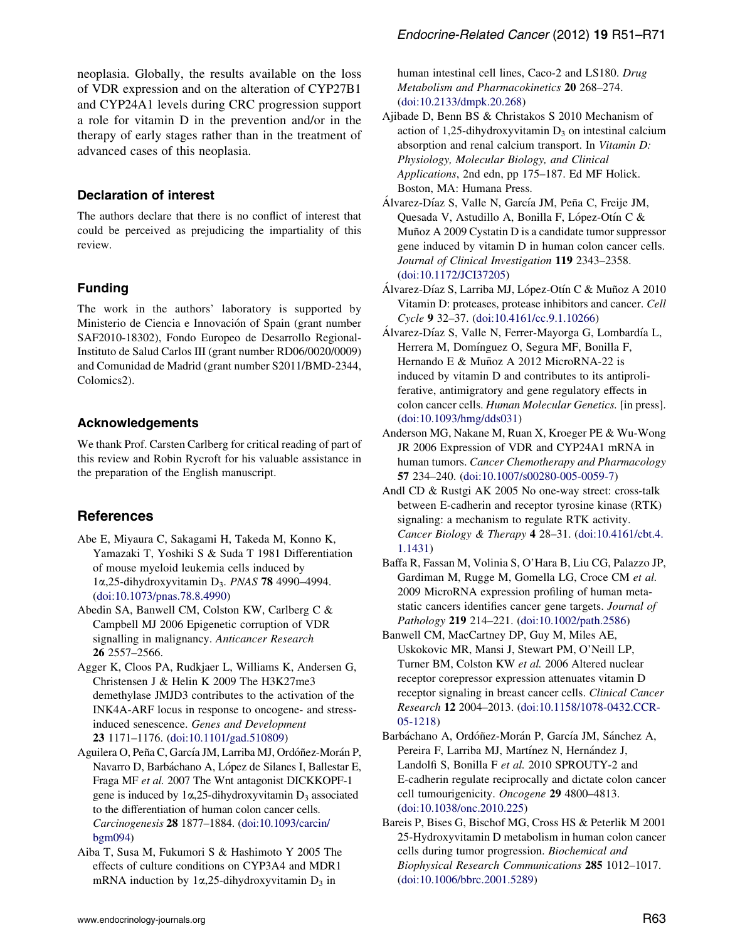<span id="page-12-0"></span>neoplasia. Globally, the results available on the loss of VDR expression and on the alteration of CYP27B1 and CYP24A1 levels during CRC progression support a role for vitamin D in the prevention and/or in the therapy of early stages rather than in the treatment of advanced cases of this neoplasia.

#### Declaration of interest

The authors declare that there is no conflict of interest that could be perceived as prejudicing the impartiality of this review.

# Funding

The work in the authors' laboratory is supported by Ministerio de Ciencia e Innovación of Spain (grant number SAF2010-18302), Fondo Europeo de Desarrollo Regional-Instituto de Salud Carlos III (grant number RD06/0020/0009) and Comunidad de Madrid (grant number S2011/BMD-2344, Colomics2).

#### Acknowledgements

We thank Prof. Carsten Carlberg for critical reading of part of this review and Robin Rycroft for his valuable assistance in the preparation of the English manuscript.

#### **References**

- Abe E, Miyaura C, Sakagami H, Takeda M, Konno K, Yamazaki T, Yoshiki S & Suda T 1981 Differentiation of mouse myeloid leukemia cells induced by  $1\alpha$ ,25-dihydroxyvitamin D<sub>3</sub>. PNAS **78** 4990-4994. ([doi:10.1073/pnas.78.8.4990\)](http://dx.doi.org/10.1073/pnas.78.8.4990)
- Abedin SA, Banwell CM, Colston KW, Carlberg C & Campbell MJ 2006 Epigenetic corruption of VDR signalling in malignancy. Anticancer Research 26 2557–2566.
- Agger K, Cloos PA, Rudkjaer L, Williams K, Andersen G, Christensen J & Helin K 2009 The H3K27me3 demethylase JMJD3 contributes to the activation of the INK4A-ARF locus in response to oncogene- and stressinduced senescence. Genes and Development 23 1171–1176. ([doi:10.1101/gad.510809](http://dx.doi.org/10.1101/gad.510809))

Aguilera O, Peña C, García JM, Larriba MJ, Ordóñez-Morán P, Navarro D, Barbáchano A, López de Silanes I, Ballestar E, Fraga MF et al. 2007 The Wnt antagonist DICKKOPF-1 gene is induced by  $1\alpha$ , 25-dihydroxyvitamin  $D_3$  associated to the differentiation of human colon cancer cells. Carcinogenesis 28 1877–1884. [\(doi:10.1093/carcin/](http://dx.doi.org/10.1093/carcin/bgm094) [bgm094\)](http://dx.doi.org/10.1093/carcin/bgm094)

Aiba T, Susa M, Fukumori S & Hashimoto Y 2005 The effects of culture conditions on CYP3A4 and MDR1 mRNA induction by  $1\alpha$ , 25-dihydroxyvitamin  $D_3$  in

human intestinal cell lines, Caco-2 and LS180. Drug Metabolism and Pharmacokinetics 20 268–274. ([doi:10.2133/dmpk.20.268\)](http://dx.doi.org/10.2133/dmpk.20.268)

- Ajibade D, Benn BS & Christakos S 2010 Mechanism of action of 1,25-dihydroxyvitamin  $D_3$  on intestinal calcium absorption and renal calcium transport. In Vitamin D: Physiology, Molecular Biology, and Clinical Applications, 2nd edn, pp 175–187. Ed MF Holick. Boston, MA: Humana Press.
- Alvarez-Díaz S, Valle N, García JM, Peña C, Freije JM, Quesada V, Astudillo A, Bonilla F, López-Otín C & Muñoz A 2009 Cystatin D is a candidate tumor suppressor gene induced by vitamin D in human colon cancer cells. Journal of Clinical Investigation 119 2343–2358. ([doi:10.1172/JCI37205](http://dx.doi.org/10.1172/JCI37205))
- Álvarez-Díaz S, Larriba MJ, López-Otín C & Muñoz A 2010 Vitamin D: proteases, protease inhibitors and cancer. Cell Cycle 9 32–37. ([doi:10.4161/cc.9.1.10266](http://dx.doi.org/10.4161/cc.9.1.10266))
- Álvarez-Díaz S, Valle N, Ferrer-Mayorga G, Lombardía L, Herrera M, Domínguez O, Segura MF, Bonilla F, Hernando E & Muñoz A 2012 MicroRNA-22 is induced by vitamin D and contributes to its antiproliferative, antimigratory and gene regulatory effects in colon cancer cells. Human Molecular Genetics. [in press]. ([doi:10.1093/hmg/dds031\)](http://dx.doi.org/10.1093/hmg/dds031)
- Anderson MG, Nakane M, Ruan X, Kroeger PE & Wu-Wong JR 2006 Expression of VDR and CYP24A1 mRNA in human tumors. Cancer Chemotherapy and Pharmacology 57 234–240. ([doi:10.1007/s00280-005-0059-7](http://dx.doi.org/10.1007/s00280-005-0059-7))
- Andl CD & Rustgi AK 2005 No one-way street: cross-talk between E-cadherin and receptor tyrosine kinase (RTK) signaling: a mechanism to regulate RTK activity. Cancer Biology & Therapy 4 28–31. [\(doi:10.4161/cbt.4.](http://dx.doi.org/10.4161/cbt.4.1.1431) [1.1431](http://dx.doi.org/10.4161/cbt.4.1.1431))
- Baffa R, Fassan M, Volinia S, O'Hara B, Liu CG, Palazzo JP, Gardiman M, Rugge M, Gomella LG, Croce CM et al. 2009 MicroRNA expression profiling of human metastatic cancers identifies cancer gene targets. Journal of Pathology 219 214–221. ([doi:10.1002/path.2586](http://dx.doi.org/10.1002/path.2586))
- Banwell CM, MacCartney DP, Guy M, Miles AE, Uskokovic MR, Mansi J, Stewart PM, O'Neill LP, Turner BM, Colston KW et al. 2006 Altered nuclear receptor corepressor expression attenuates vitamin D receptor signaling in breast cancer cells. Clinical Cancer Research 12 2004–2013. [\(doi:10.1158/1078-0432.CCR-](http://dx.doi.org/10.1158/1078-0432.CCR-05-1218)[05-1218\)](http://dx.doi.org/10.1158/1078-0432.CCR-05-1218)
- Barbáchano A, Ordóñez-Morán P, García JM, Sánchez A, Pereira F, Larriba MJ, Martínez N, Hernández J, Landolfi S, Bonilla F et al. 2010 SPROUTY-2 and E-cadherin regulate reciprocally and dictate colon cancer cell tumourigenicity. Oncogene 29 4800–4813. ([doi:10.1038/onc.2010.225](http://dx.doi.org/10.1038/onc.2010.225))
- Bareis P, Bises G, Bischof MG, Cross HS & Peterlik M 2001 25-Hydroxyvitamin D metabolism in human colon cancer cells during tumor progression. Biochemical and Biophysical Research Communications 285 1012–1017. ([doi:10.1006/bbrc.2001.5289\)](http://dx.doi.org/10.1006/bbrc.2001.5289)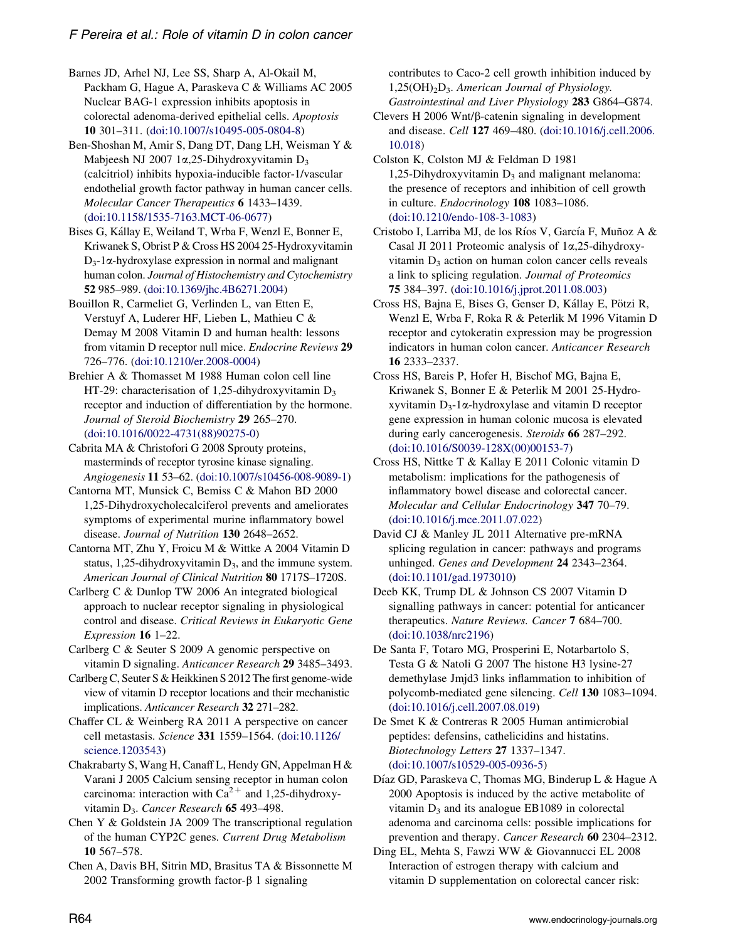<span id="page-13-0"></span>Barnes JD, Arhel NJ, Lee SS, Sharp A, Al-Okail M, Packham G, Hague A, Paraskeva C & Williams AC 2005 Nuclear BAG-1 expression inhibits apoptosis in colorectal adenoma-derived epithelial cells. Apoptosis 10 301–311. ([doi:10.1007/s10495-005-0804-8](http://dx.doi.org/10.1007/s10495-005-0804-8))

Ben-Shoshan M, Amir S, Dang DT, Dang LH, Weisman Y & Mabjeesh NJ 2007 1 $\alpha$ , 25-Dihydroxyvitamin D<sub>3</sub> (calcitriol) inhibits hypoxia-inducible factor-1/vascular endothelial growth factor pathway in human cancer cells. Molecular Cancer Therapeutics 6 1433–1439. ([doi:10.1158/1535-7163.MCT-06-0677\)](http://dx.doi.org/10.1158/1535-7163.MCT-06-0677)

Bises G, Kállay E, Weiland T, Wrba F, Wenzl E, Bonner E, Kriwanek S, Obrist P & Cross HS 2004 25-Hydroxyvitamin  $D_3$ -1 $\alpha$ -hydroxylase expression in normal and malignant human colon. Journal of Histochemistry and Cytochemistry 52 985–989. ([doi:10.1369/jhc.4B6271.2004](http://dx.doi.org/10.1369/jhc.4B6271.2004))

Bouillon R, Carmeliet G, Verlinden L, van Etten E, Verstuyf A, Luderer HF, Lieben L, Mathieu C & Demay M 2008 Vitamin D and human health: lessons from vitamin D receptor null mice. Endocrine Reviews 29 726–776. [\(doi:10.1210/er.2008-0004\)](http://dx.doi.org/10.1210/er.2008-0004)

Brehier A & Thomasset M 1988 Human colon cell line HT-29: characterisation of 1,25-dihydroxyvitamin  $D_3$ receptor and induction of differentiation by the hormone. Journal of Steroid Biochemistry 29 265–270. ([doi:10.1016/0022-4731\(88\)90275-0](http://dx.doi.org/10.1016/0022-4731(88)90275-0))

Cabrita MA & Christofori G 2008 Sprouty proteins, masterminds of receptor tyrosine kinase signaling. Angiogenesis 11 53–62. [\(doi:10.1007/s10456-008-9089-1\)](http://dx.doi.org/10.1007/s10456-008-9089-1)

Cantorna MT, Munsick C, Bemiss C & Mahon BD 2000 1,25-Dihydroxycholecalciferol prevents and ameliorates symptoms of experimental murine inflammatory bowel disease. Journal of Nutrition 130 2648–2652.

Cantorna MT, Zhu Y, Froicu M & Wittke A 2004 Vitamin D status, 1,25-dihydroxyvitamin  $D_3$ , and the immune system. American Journal of Clinical Nutrition 80 1717S–1720S.

Carlberg C & Dunlop TW 2006 An integrated biological approach to nuclear receptor signaling in physiological control and disease. Critical Reviews in Eukaryotic Gene Expression 16 1–22.

Carlberg C & Seuter S 2009 A genomic perspective on vitamin D signaling. Anticancer Research 29 3485–3493.

Carlberg C, Seuter S & Heikkinen S 2012 The first genome-wide view of vitamin D receptor locations and their mechanistic implications. Anticancer Research 32 271–282.

Chaffer CL & Weinberg RA 2011 A perspective on cancer cell metastasis. Science 331 1559–1564. [\(doi:10.1126/](http://dx.doi.org/10.1126/science.1203543) [science.1203543](http://dx.doi.org/10.1126/science.1203543))

Chakrabarty S, Wang H, Canaff L, Hendy GN, Appelman H & Varani J 2005 Calcium sensing receptor in human colon carcinoma: interaction with  $Ca^{2+}$  and 1,25-dihydroxyvitamin D<sub>3</sub>. Cancer Research 65 493-498.

Chen Y & Goldstein JA 2009 The transcriptional regulation of the human CYP2C genes. Current Drug Metabolism 10 567–578.

Chen A, Davis BH, Sitrin MD, Brasitus TA & Bissonnette M 2002 Transforming growth factor- $\beta$  1 signaling

contributes to Caco-2 cell growth inhibition induced by  $1,25(OH)_{2}D_{3}$ . American Journal of Physiology. Gastrointestinal and Liver Physiology 283 G864–G874.

Clevers  $H 2006 Wnt/\beta$ -catenin signaling in development and disease. Cell 127 469–480. ([doi:10.1016/j.cell.2006.](http://dx.doi.org/10.1016/j.cell.2006.10.018) [10.018\)](http://dx.doi.org/10.1016/j.cell.2006.10.018)

Colston K, Colston MJ & Feldman D 1981 1,25-Dihydroxyvitamin  $D_3$  and malignant melanoma: the presence of receptors and inhibition of cell growth in culture. Endocrinology 108 1083–1086. ([doi:10.1210/endo-108-3-1083\)](http://dx.doi.org/10.1210/endo-108-3-1083)

Cristobo I, Larriba MJ, de los Ríos V, García F, Muñoz A & Casal JI 2011 Proteomic analysis of 1a,25-dihydroxyvitamin  $D_3$  action on human colon cancer cells reveals a link to splicing regulation. Journal of Proteomics 75 384–397. ([doi:10.1016/j.jprot.2011.08.003](http://dx.doi.org/10.1016/j.jprot.2011.08.003))

Cross HS, Bajna E, Bises G, Genser D, Kállay E, Pötzi R, Wenzl E, Wrba F, Roka R & Peterlik M 1996 Vitamin D receptor and cytokeratin expression may be progression indicators in human colon cancer. Anticancer Research 16 2333–2337.

Cross HS, Bareis P, Hofer H, Bischof MG, Bajna E, Kriwanek S, Bonner E & Peterlik M 2001 25-Hydroxyvitamin  $D_3$ -1 $\alpha$ -hydroxylase and vitamin D receptor gene expression in human colonic mucosa is elevated during early cancerogenesis. Steroids 66 287–292. ([doi:10.1016/S0039-128X\(00\)00153-7](http://dx.doi.org/10.1016/S0039-128X(00)00153-7))

Cross HS, Nittke T & Kallay E 2011 Colonic vitamin D metabolism: implications for the pathogenesis of inflammatory bowel disease and colorectal cancer. Molecular and Cellular Endocrinology 347 70–79. ([doi:10.1016/j.mce.2011.07.022\)](http://dx.doi.org/10.1016/j.mce.2011.07.022)

David CJ & Manley JL 2011 Alternative pre-mRNA splicing regulation in cancer: pathways and programs unhinged. Genes and Development 24 2343–2364. ([doi:10.1101/gad.1973010](http://dx.doi.org/10.1101/gad.1973010))

Deeb KK, Trump DL & Johnson CS 2007 Vitamin D signalling pathways in cancer: potential for anticancer therapeutics. Nature Reviews. Cancer 7 684–700. ([doi:10.1038/nrc2196](http://dx.doi.org/10.1038/nrc2196))

De Santa F, Totaro MG, Prosperini E, Notarbartolo S, Testa G & Natoli G 2007 The histone H3 lysine-27 demethylase Jmjd3 links inflammation to inhibition of polycomb-mediated gene silencing. Cell 130 1083–1094. ([doi:10.1016/j.cell.2007.08.019\)](http://dx.doi.org/10.1016/j.cell.2007.08.019)

De Smet K & Contreras R 2005 Human antimicrobial peptides: defensins, cathelicidins and histatins. Biotechnology Letters 27 1337–1347. ([doi:10.1007/s10529-005-0936-5](http://dx.doi.org/10.1007/s10529-005-0936-5))

Díaz GD, Paraskeva C, Thomas MG, Binderup L & Hague A 2000 Apoptosis is induced by the active metabolite of vitamin  $D_3$  and its analogue EB1089 in colorectal adenoma and carcinoma cells: possible implications for prevention and therapy. Cancer Research 60 2304–2312.

Ding EL, Mehta S, Fawzi WW & Giovannucci EL 2008 Interaction of estrogen therapy with calcium and vitamin D supplementation on colorectal cancer risk: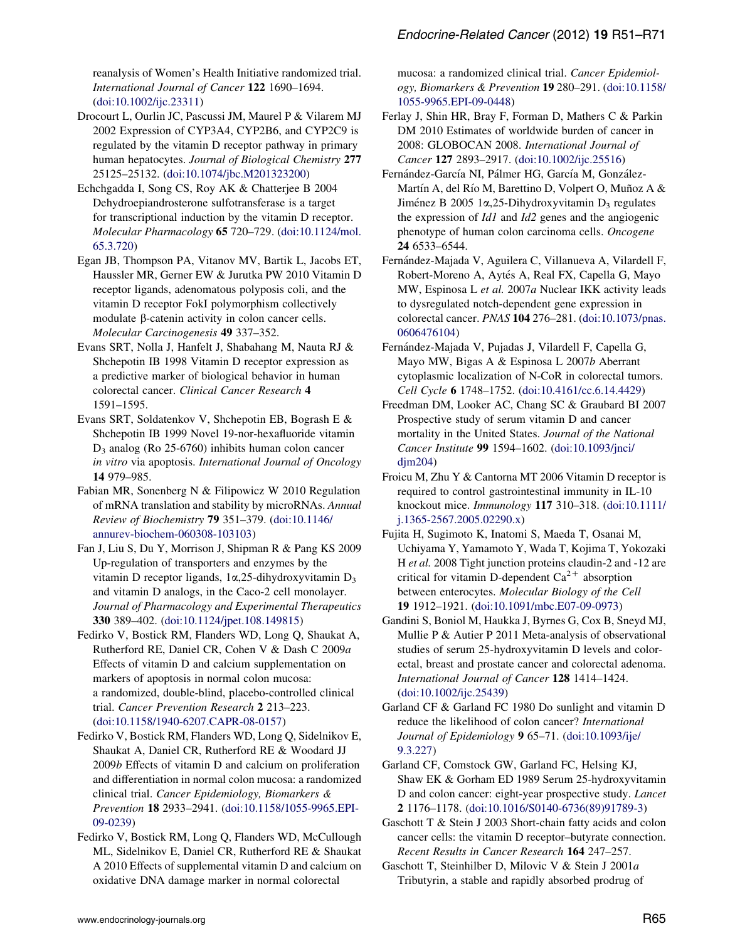<span id="page-14-0"></span>reanalysis of Women's Health Initiative randomized trial. International Journal of Cancer 122 1690–1694. ([doi:10.1002/ijc.23311](http://dx.doi.org/10.1002/ijc.23311))

Drocourt L, Ourlin JC, Pascussi JM, Maurel P & Vilarem MJ 2002 Expression of CYP3A4, CYP2B6, and CYP2C9 is regulated by the vitamin D receptor pathway in primary human hepatocytes. Journal of Biological Chemistry 277 25125–25132. ([doi:10.1074/jbc.M201323200](http://dx.doi.org/10.1074/jbc.M201323200))

Echchgadda I, Song CS, Roy AK & Chatterjee B 2004 Dehydroepiandrosterone sulfotransferase is a target for transcriptional induction by the vitamin D receptor. Molecular Pharmacology 65 720–729. [\(doi:10.1124/mol.](http://dx.doi.org/10.1124/mol.65.3.720) [65.3.720](http://dx.doi.org/10.1124/mol.65.3.720))

Egan JB, Thompson PA, Vitanov MV, Bartik L, Jacobs ET, Haussler MR, Gerner EW & Jurutka PW 2010 Vitamin D receptor ligands, adenomatous polyposis coli, and the vitamin D receptor FokI polymorphism collectively modulate  $\beta$ -catenin activity in colon cancer cells. Molecular Carcinogenesis 49 337–352.

Evans SRT, Nolla J, Hanfelt J, Shabahang M, Nauta RJ & Shchepotin IB 1998 Vitamin D receptor expression as a predictive marker of biological behavior in human colorectal cancer. Clinical Cancer Research 4 1591–1595.

Evans SRT, Soldatenkov V, Shchepotin EB, Bogrash E & Shchepotin IB 1999 Novel 19-nor-hexafluoride vitamin  $D_3$  analog (Ro 25-6760) inhibits human colon cancer in vitro via apoptosis. International Journal of Oncology 14 979–985.

Fabian MR, Sonenberg N & Filipowicz W 2010 Regulation of mRNA translation and stability by microRNAs. Annual Review of Biochemistry 79 351–379. [\(doi:10.1146/](http://dx.doi.org/10.1146/annurev-biochem-060308-103103) [annurev-biochem-060308-103103](http://dx.doi.org/10.1146/annurev-biochem-060308-103103))

Fan J, Liu S, Du Y, Morrison J, Shipman R & Pang KS 2009 Up-regulation of transporters and enzymes by the vitamin D receptor ligands,  $1\alpha$ ,  $25$ -dihydroxyvitamin D<sub>3</sub> and vitamin D analogs, in the Caco-2 cell monolayer. Journal of Pharmacology and Experimental Therapeutics 330 389–402. [\(doi:10.1124/jpet.108.149815](http://dx.doi.org/10.1124/jpet.108.149815))

Fedirko V, Bostick RM, Flanders WD, Long Q, Shaukat A, Rutherford RE, Daniel CR, Cohen V & Dash C 2009a Effects of vitamin D and calcium supplementation on markers of apoptosis in normal colon mucosa: a randomized, double-blind, placebo-controlled clinical trial. Cancer Prevention Research 2 213–223. ([doi:10.1158/1940-6207.CAPR-08-0157\)](http://dx.doi.org/10.1158/1940-6207.CAPR-08-0157)

Fedirko V, Bostick RM, Flanders WD, Long Q, Sidelnikov E, Shaukat A, Daniel CR, Rutherford RE & Woodard JJ 2009b Effects of vitamin D and calcium on proliferation and differentiation in normal colon mucosa: a randomized clinical trial. Cancer Epidemiology, Biomarkers & Prevention 18 2933–2941. ([doi:10.1158/1055-9965.EPI-](http://dx.doi.org/10.1158/1055-9965.EPI-09-0239)[09-0239\)](http://dx.doi.org/10.1158/1055-9965.EPI-09-0239)

Fedirko V, Bostick RM, Long Q, Flanders WD, McCullough ML, Sidelnikov E, Daniel CR, Rutherford RE & Shaukat A 2010 Effects of supplemental vitamin D and calcium on oxidative DNA damage marker in normal colorectal

mucosa: a randomized clinical trial. Cancer Epidemiology, Biomarkers & Prevention 19 280–291. [\(doi:10.1158/](http://dx.doi.org/10.1158/1055-9965.EPI-09-0448) [1055-9965.EPI-09-0448](http://dx.doi.org/10.1158/1055-9965.EPI-09-0448))

Ferlay J, Shin HR, Bray F, Forman D, Mathers C & Parkin DM 2010 Estimates of worldwide burden of cancer in 2008: GLOBOCAN 2008. International Journal of Cancer 127 2893–2917. [\(doi:10.1002/ijc.25516\)](http://dx.doi.org/10.1002/ijc.25516)

Fernández-García NI, Pálmer HG, García M, González-Martín A, del Río M, Barettino D, Volpert O, Muñoz A & Jiménez B 2005 1 $\alpha$ , 25-Dihydroxyvitamin D<sub>3</sub> regulates the expression of Id1 and Id2 genes and the angiogenic phenotype of human colon carcinoma cells. Oncogene 24 6533–6544.

Fernández-Majada V, Aguilera C, Villanueva A, Vilardell F, Robert-Moreno A, Aytés A, Real FX, Capella G, Mayo MW, Espinosa L et al. 2007a Nuclear IKK activity leads to dysregulated notch-dependent gene expression in colorectal cancer. PNAS 104 276–281. ([doi:10.1073/pnas.](http://dx.doi.org/10.1073/pnas.0606476104) [0606476104\)](http://dx.doi.org/10.1073/pnas.0606476104)

Fernández-Majada V, Pujadas J, Vilardell F, Capella G, Mayo MW, Bigas A & Espinosa L 2007b Aberrant cytoplasmic localization of N-CoR in colorectal tumors. Cell Cycle 6 1748–1752. [\(doi:10.4161/cc.6.14.4429](http://dx.doi.org/10.4161/cc.6.14.4429))

Freedman DM, Looker AC, Chang SC & Graubard BI 2007 Prospective study of serum vitamin D and cancer mortality in the United States. Journal of the National Cancer Institute 99 1594–1602. [\(doi:10.1093/jnci/](http://dx.doi.org/10.1093/jnci/djm204)  $dim204$ 

Froicu M, Zhu Y & Cantorna MT 2006 Vitamin D receptor is required to control gastrointestinal immunity in IL-10 knockout mice. Immunology 117 310–318. [\(doi:10.1111/](http://dx.doi.org/10.1111/j.1365-2567.2005.02290.x) [j.1365-2567.2005.02290.x](http://dx.doi.org/10.1111/j.1365-2567.2005.02290.x))

Fujita H, Sugimoto K, Inatomi S, Maeda T, Osanai M, Uchiyama Y, Yamamoto Y, Wada T, Kojima T, Yokozaki H et al. 2008 Tight junction proteins claudin-2 and -12 are critical for vitamin D-dependent  $Ca^{2+}$  absorption between enterocytes. Molecular Biology of the Cell 19 1912–1921. ([doi:10.1091/mbc.E07-09-0973\)](http://dx.doi.org/10.1091/mbc.E07-09-0973)

Gandini S, Boniol M, Haukka J, Byrnes G, Cox B, Sneyd MJ, Mullie P & Autier P 2011 Meta-analysis of observational studies of serum 25-hydroxyvitamin D levels and colorectal, breast and prostate cancer and colorectal adenoma. International Journal of Cancer 128 1414–1424. ([doi:10.1002/ijc.25439](http://dx.doi.org/10.1002/ijc.25439))

Garland CF & Garland FC 1980 Do sunlight and vitamin D reduce the likelihood of colon cancer? International Journal of Epidemiology 9 65–71. [\(doi:10.1093/ije/](http://dx.doi.org/10.1093/ije/9.3.227) [9.3.227\)](http://dx.doi.org/10.1093/ije/9.3.227)

Garland CF, Comstock GW, Garland FC, Helsing KJ, Shaw EK & Gorham ED 1989 Serum 25-hydroxyvitamin D and colon cancer: eight-year prospective study. Lancet 2 1176–1178. [\(doi:10.1016/S0140-6736\(89\)91789-3\)](http://dx.doi.org/10.1016/S0140-6736(89)91789-3)

Gaschott T & Stein J 2003 Short-chain fatty acids and colon cancer cells: the vitamin D receptor–butyrate connection. Recent Results in Cancer Research 164 247–257.

Gaschott T, Steinhilber D, Milovic V & Stein J 2001a Tributyrin, a stable and rapidly absorbed prodrug of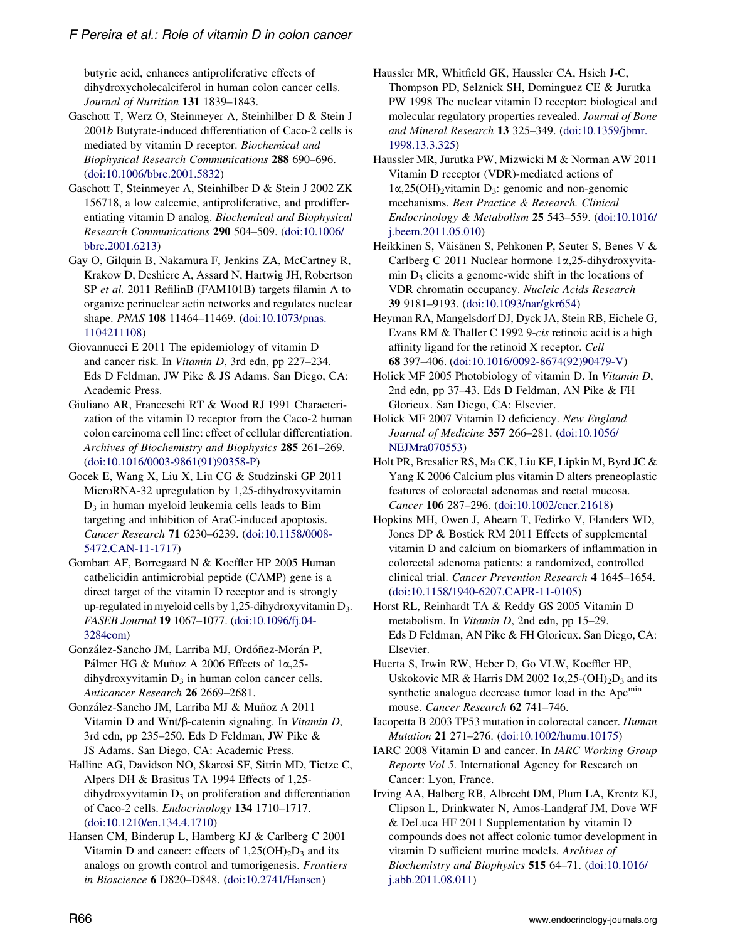<span id="page-15-0"></span>butyric acid, enhances antiproliferative effects of dihydroxycholecalciferol in human colon cancer cells. Journal of Nutrition 131 1839–1843.

- Gaschott T, Werz O, Steinmeyer A, Steinhilber D & Stein J 2001b Butyrate-induced differentiation of Caco-2 cells is mediated by vitamin D receptor. Biochemical and Biophysical Research Communications 288 690–696. ([doi:10.1006/bbrc.2001.5832\)](http://dx.doi.org/10.1006/bbrc.2001.5832)
- Gaschott T, Steinmeyer A, Steinhilber D & Stein J 2002 ZK 156718, a low calcemic, antiproliferative, and prodifferentiating vitamin D analog. Biochemical and Biophysical Research Communications 290 504–509. ([doi:10.1006/](http://dx.doi.org/10.1006/bbrc.2001.6213) [bbrc.2001.6213](http://dx.doi.org/10.1006/bbrc.2001.6213))
- Gay O, Gilquin B, Nakamura F, Jenkins ZA, McCartney R, Krakow D, Deshiere A, Assard N, Hartwig JH, Robertson SP et al. 2011 RefilinB (FAM101B) targets filamin A to organize perinuclear actin networks and regulates nuclear shape. PNAS 108 11464–11469. ([doi:10.1073/pnas.](http://dx.doi.org/10.1073/pnas.1104211108) [1104211108\)](http://dx.doi.org/10.1073/pnas.1104211108)
- Giovannucci E 2011 The epidemiology of vitamin D and cancer risk. In Vitamin D, 3rd edn, pp 227–234. Eds D Feldman, JW Pike & JS Adams. San Diego, CA: Academic Press.
- Giuliano AR, Franceschi RT & Wood RJ 1991 Characterization of the vitamin D receptor from the Caco-2 human colon carcinoma cell line: effect of cellular differentiation. Archives of Biochemistry and Biophysics 285 261-269. ([doi:10.1016/0003-9861\(91\)90358-P\)](http://dx.doi.org/10.1016/0003-9861(91)90358-P)
- Gocek E, Wang X, Liu X, Liu CG & Studzinski GP 2011 MicroRNA-32 upregulation by 1,25-dihydroxyvitamin  $D_3$  in human myeloid leukemia cells leads to Bim targeting and inhibition of AraC-induced apoptosis. Cancer Research 71 6230–6239. [\(doi:10.1158/0008-](http://dx.doi.org/10.1158/0008-5472.CAN-11-1717) [5472.CAN-11-1717\)](http://dx.doi.org/10.1158/0008-5472.CAN-11-1717)
- Gombart AF, Borregaard N & Koeffler HP 2005 Human cathelicidin antimicrobial peptide (CAMP) gene is a direct target of the vitamin D receptor and is strongly up-regulated in myeloid cells by 1,25-dihydroxyvitamin  $D_3$ . FASEB Journal 19 1067–1077. ([doi:10.1096/fj.04-](http://dx.doi.org/10.1096/fj.04-3284com) [3284com\)](http://dx.doi.org/10.1096/fj.04-3284com)
- González-Sancho JM, Larriba MJ, Ordóñez-Morán P, Pálmer HG & Muñoz A 2006 Effects of 1 $\alpha$ , 25dihydroxyvitamin  $D_3$  in human colon cancer cells. Anticancer Research 26 2669–2681.
- González-Sancho JM, Larriba MJ & Muñoz A 2011 Vitamin D and Wnt/ $\beta$ -catenin signaling. In Vitamin D, 3rd edn, pp 235–250. Eds D Feldman, JW Pike & JS Adams. San Diego, CA: Academic Press.
- Halline AG, Davidson NO, Skarosi SF, Sitrin MD, Tietze C, Alpers DH & Brasitus TA 1994 Effects of 1,25  $d$ ihydroxyvitamin  $D_3$  on proliferation and differentiation of Caco-2 cells. Endocrinology 134 1710–1717. ([doi:10.1210/en.134.4.1710\)](http://dx.doi.org/10.1210/en.134.4.1710)
- Hansen CM, Binderup L, Hamberg KJ & Carlberg C 2001 Vitamin D and cancer: effects of  $1,25(OH)<sub>2</sub>D<sub>3</sub>$  and its analogs on growth control and tumorigenesis. Frontiers in Bioscience 6 D820–D848. ([doi:10.2741/Hansen](http://dx.doi.org/10.2741/Hansen))
- Haussler MR, Whitfield GK, Haussler CA, Hsieh J-C, Thompson PD, Selznick SH, Dominguez CE & Jurutka PW 1998 The nuclear vitamin D receptor: biological and molecular regulatory properties revealed. Journal of Bone and Mineral Research 13 325–349. ([doi:10.1359/jbmr.](http://dx.doi.org/10.1359/jbmr.1998.13.3.325) [1998.13.3.325](http://dx.doi.org/10.1359/jbmr.1998.13.3.325))
- Haussler MR, Jurutka PW, Mizwicki M & Norman AW 2011 Vitamin D receptor (VDR)-mediated actions of  $1\alpha,25(OH)_2$ vitamin D<sub>3</sub>: genomic and non-genomic mechanisms. Best Practice & Research. Clinical Endocrinology & Metabolism 25 543–559. ([doi:10.1016/](http://dx.doi.org/10.1016/j.beem.2011.05.010) [j.beem.2011.05.010](http://dx.doi.org/10.1016/j.beem.2011.05.010))
- Heikkinen S, Väisänen S, Pehkonen P, Seuter S, Benes V & Carlberg C 2011 Nuclear hormone 1a,25-dihydroxyvitamin  $D_3$  elicits a genome-wide shift in the locations of VDR chromatin occupancy. Nucleic Acids Research 39 9181–9193. ([doi:10.1093/nar/gkr654\)](http://dx.doi.org/10.1093/nar/gkr654)
- Heyman RA, Mangelsdorf DJ, Dyck JA, Stein RB, Eichele G, Evans RM & Thaller C 1992 9-cis retinoic acid is a high affinity ligand for the retinoid X receptor. Cell 68 397–406. [\(doi:10.1016/0092-8674\(92\)90479-V](http://dx.doi.org/10.1016/0092-8674(92)90479-V))
- Holick MF 2005 Photobiology of vitamin D. In Vitamin D, 2nd edn, pp 37–43. Eds D Feldman, AN Pike & FH Glorieux. San Diego, CA: Elsevier.
- Holick MF 2007 Vitamin D deficiency. New England Journal of Medicine 357 266–281. ([doi:10.1056/](http://dx.doi.org/10.1056/NEJMra070553) [NEJMra070553](http://dx.doi.org/10.1056/NEJMra070553))
- Holt PR, Bresalier RS, Ma CK, Liu KF, Lipkin M, Byrd JC & Yang K 2006 Calcium plus vitamin D alters preneoplastic features of colorectal adenomas and rectal mucosa. Cancer 106 287–296. ([doi:10.1002/cncr.21618](http://dx.doi.org/10.1002/cncr.21618))
- Hopkins MH, Owen J, Ahearn T, Fedirko V, Flanders WD, Jones DP & Bostick RM 2011 Effects of supplemental vitamin D and calcium on biomarkers of inflammation in colorectal adenoma patients: a randomized, controlled clinical trial. Cancer Prevention Research 4 1645–1654. ([doi:10.1158/1940-6207.CAPR-11-0105\)](http://dx.doi.org/10.1158/1940-6207.CAPR-11-0105)
- Horst RL, Reinhardt TA & Reddy GS 2005 Vitamin D metabolism. In Vitamin D, 2nd edn, pp 15–29. Eds D Feldman, AN Pike & FH Glorieux. San Diego, CA: Elsevier.
- Huerta S, Irwin RW, Heber D, Go VLW, Koeffler HP, Uskokovic MR & Harris DM 2002  $1\alpha$ ,  $25-(OH)_{2}D_{3}$  and its synthetic analogue decrease tumor load in the Apc<sup>min</sup> mouse. Cancer Research 62 741–746.
- Iacopetta B 2003 TP53 mutation in colorectal cancer. Human Mutation 21 271–276. ([doi:10.1002/humu.10175](http://dx.doi.org/10.1002/humu.10175))
- IARC 2008 Vitamin D and cancer. In IARC Working Group Reports Vol 5. International Agency for Research on Cancer: Lyon, France.
- Irving AA, Halberg RB, Albrecht DM, Plum LA, Krentz KJ, Clipson L, Drinkwater N, Amos-Landgraf JM, Dove WF & DeLuca HF 2011 Supplementation by vitamin D compounds does not affect colonic tumor development in vitamin D sufficient murine models. Archives of Biochemistry and Biophysics 515 64–71. [\(doi:10.1016/](http://dx.doi.org/10.1016/j.abb.2011.08.011) [j.abb.2011.08.011\)](http://dx.doi.org/10.1016/j.abb.2011.08.011)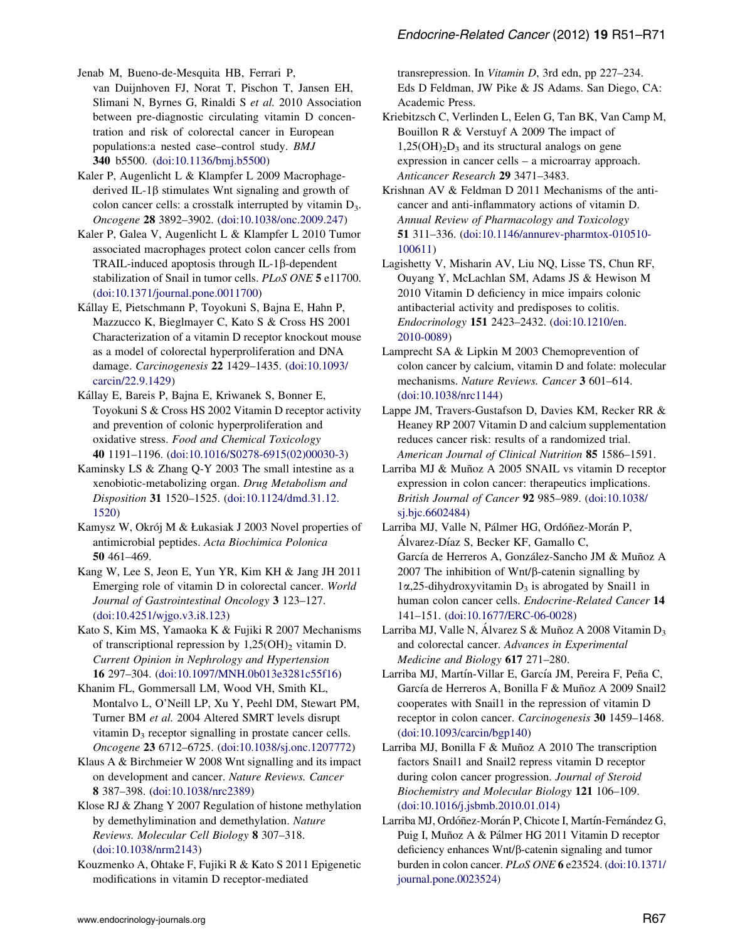<span id="page-16-0"></span>Jenab M, Bueno-de-Mesquita HB, Ferrari P,

van Duijnhoven FJ, Norat T, Pischon T, Jansen EH, Slimani N, Byrnes G, Rinaldi S et al. 2010 Association between pre-diagnostic circulating vitamin D concentration and risk of colorectal cancer in European populations:a nested case–control study. BMJ 340 b5500. ([doi:10.1136/bmj.b5500](http://dx.doi.org/10.1136/bmj.b5500))

Kaler P, Augenlicht L & Klampfer L 2009 Macrophagederived IL-1 $\beta$  stimulates Wnt signaling and growth of colon cancer cells: a crosstalk interrupted by vitamin  $D_3$ . Oncogene 28 3892–3902. ([doi:10.1038/onc.2009.247](http://dx.doi.org/10.1038/onc.2009.247))

Kaler P, Galea V, Augenlicht L & Klampfer L 2010 Tumor associated macrophages protect colon cancer cells from  $TRAIL-induced$  apoptosis through  $IL-1\beta$ -dependent stabilization of Snail in tumor cells. PLoS ONE 5 e11700. ([doi:10.1371/journal.pone.0011700](http://dx.doi.org/10.1371/journal.pone.0011700))

Kállay E, Pietschmann P, Toyokuni S, Bajna E, Hahn P, Mazzucco K, Bieglmayer C, Kato S & Cross HS 2001 Characterization of a vitamin D receptor knockout mouse as a model of colorectal hyperproliferation and DNA damage. Carcinogenesis 22 1429–1435. [\(doi:10.1093/](http://dx.doi.org/10.1093/carcin/22.9.1429) [carcin/22.9.1429](http://dx.doi.org/10.1093/carcin/22.9.1429))

Kállay E, Bareis P, Bajna E, Kriwanek S, Bonner E, Toyokuni S & Cross HS 2002 Vitamin D receptor activity and prevention of colonic hyperproliferation and oxidative stress. Food and Chemical Toxicology 40 1191–1196. ([doi:10.1016/S0278-6915\(02\)00030-3\)](http://dx.doi.org/10.1016/S0278-6915(02)00030-3)

Kaminsky LS & Zhang Q-Y 2003 The small intestine as a xenobiotic-metabolizing organ. Drug Metabolism and Disposition 31 1520–1525. ([doi:10.1124/dmd.31.12.](http://dx.doi.org/10.1124/dmd.31.12.1520) [1520\)](http://dx.doi.org/10.1124/dmd.31.12.1520)

Kamysz W, Okrój M & Łukasiak J 2003 Novel properties of antimicrobial peptides. Acta Biochimica Polonica 50 461–469.

Kang W, Lee S, Jeon E, Yun YR, Kim KH & Jang JH 2011 Emerging role of vitamin D in colorectal cancer. World Journal of Gastrointestinal Oncology 3 123–127. ([doi:10.4251/wjgo.v3.i8.123](http://dx.doi.org/10.4251/wjgo.v3.i8.123))

Kato S, Kim MS, Yamaoka K & Fujiki R 2007 Mechanisms of transcriptional repression by  $1,25(OH)$ <sub>2</sub> vitamin D. Current Opinion in Nephrology and Hypertension 16 297–304. ([doi:10.1097/MNH.0b013e3281c55f16\)](http://dx.doi.org/10.1097/MNH.0b013e3281c55f16)

Khanim FL, Gommersall LM, Wood VH, Smith KL, Montalvo L, O'Neill LP, Xu Y, Peehl DM, Stewart PM, Turner BM et al. 2004 Altered SMRT levels disrupt vitamin  $D_3$  receptor signalling in prostate cancer cells. Oncogene 23 6712–6725. ([doi:10.1038/sj.onc.1207772](http://dx.doi.org/10.1038/sj.onc.1207772))

Klaus A & Birchmeier W 2008 Wnt signalling and its impact on development and cancer. Nature Reviews. Cancer 8 387–398. [\(doi:10.1038/nrc2389](http://dx.doi.org/10.1038/nrc2389))

Klose RJ & Zhang Y 2007 Regulation of histone methylation by demethylimination and demethylation. Nature Reviews. Molecular Cell Biology 8 307–318. ([doi:10.1038/nrm2143\)](http://dx.doi.org/10.1038/nrm2143)

Kouzmenko A, Ohtake F, Fujiki R & Kato S 2011 Epigenetic modifications in vitamin D receptor-mediated

transrepression. In Vitamin D, 3rd edn, pp 227–234. Eds D Feldman, JW Pike & JS Adams. San Diego, CA: Academic Press.

Kriebitzsch C, Verlinden L, Eelen G, Tan BK, Van Camp M, Bouillon R & Verstuyf A 2009 The impact of  $1,25(OH)<sub>2</sub>D<sub>3</sub>$  and its structural analogs on gene expression in cancer cells – a microarray approach. Anticancer Research 29 3471–3483.

Krishnan AV & Feldman D 2011 Mechanisms of the anticancer and anti-inflammatory actions of vitamin D. Annual Review of Pharmacology and Toxicology 51 311–336. ([doi:10.1146/annurev-pharmtox-010510-](http://dx.doi.org/10.1146/annurev-pharmtox-010510-100611) [100611\)](http://dx.doi.org/10.1146/annurev-pharmtox-010510-100611)

Lagishetty V, Misharin AV, Liu NQ, Lisse TS, Chun RF, Ouyang Y, McLachlan SM, Adams JS & Hewison M 2010 Vitamin D deficiency in mice impairs colonic antibacterial activity and predisposes to colitis. Endocrinology 151 2423–2432. [\(doi:10.1210/en.](http://dx.doi.org/10.1210/en.2010-0089) [2010-0089\)](http://dx.doi.org/10.1210/en.2010-0089)

Lamprecht SA & Lipkin M 2003 Chemoprevention of colon cancer by calcium, vitamin D and folate: molecular mechanisms. Nature Reviews. Cancer 3 601–614. ([doi:10.1038/nrc1144\)](http://dx.doi.org/10.1038/nrc1144)

Lappe JM, Travers-Gustafson D, Davies KM, Recker RR & Heaney RP 2007 Vitamin D and calcium supplementation reduces cancer risk: results of a randomized trial. American Journal of Clinical Nutrition 85 1586–1591.

Larriba MJ & Muñoz A 2005 SNAIL vs vitamin D receptor expression in colon cancer: therapeutics implications. British Journal of Cancer 92 985–989. [\(doi:10.1038/](http://dx.doi.org/10.1038/sj.bjc.6602484) [sj.bjc.6602484\)](http://dx.doi.org/10.1038/sj.bjc.6602484)

Larriba MJ, Valle N, Pálmer HG, Ordóñez-Morán P, Alvarez-Díaz S, Becker KF, Gamallo C, García de Herreros A, González-Sancho JM & Muñoz A 2007 The inhibition of  $Wnt/\beta$ -catenin signalling by  $1\alpha$ ,25-dihydroxyvitamin  $D_3$  is abrogated by Snail1 in human colon cancer cells. Endocrine-Related Cancer 14 141–151. [\(doi:10.1677/ERC-06-0028](http://dx.doi.org/10.1677/ERC-06-0028))

Larriba MJ, Valle N, Álvarez S & Muñoz A 2008 Vitamin D<sub>3</sub> and colorectal cancer. Advances in Experimental Medicine and Biology 617 271–280.

Larriba MJ, Martín-Villar E, García JM, Pereira F, Peña C, García de Herreros A, Bonilla F & Muñoz A 2009 Snail2 cooperates with Snail1 in the repression of vitamin D receptor in colon cancer. Carcinogenesis 30 1459–1468. ([doi:10.1093/carcin/bgp140\)](http://dx.doi.org/10.1093/carcin/bgp140)

Larriba MJ, Bonilla F & Muñoz A 2010 The transcription factors Snail1 and Snail2 repress vitamin D receptor during colon cancer progression. Journal of Steroid Biochemistry and Molecular Biology 121 106–109. ([doi:10.1016/j.jsbmb.2010.01.014](http://dx.doi.org/10.1016/j.jsbmb.2010.01.014))

Larriba MJ, Ordóñez-Morán P, Chicote I, Martín-Fernández G, Puig I, Muñoz A & Pálmer HG 2011 Vitamin D receptor deficiency enhances Wnt/β-catenin signaling and tumor burden in colon cancer. PLoS ONE 6 e23524. ([doi:10.1371/](http://dx.doi.org/10.1371/journal.pone.0023524) [journal.pone.0023524\)](http://dx.doi.org/10.1371/journal.pone.0023524)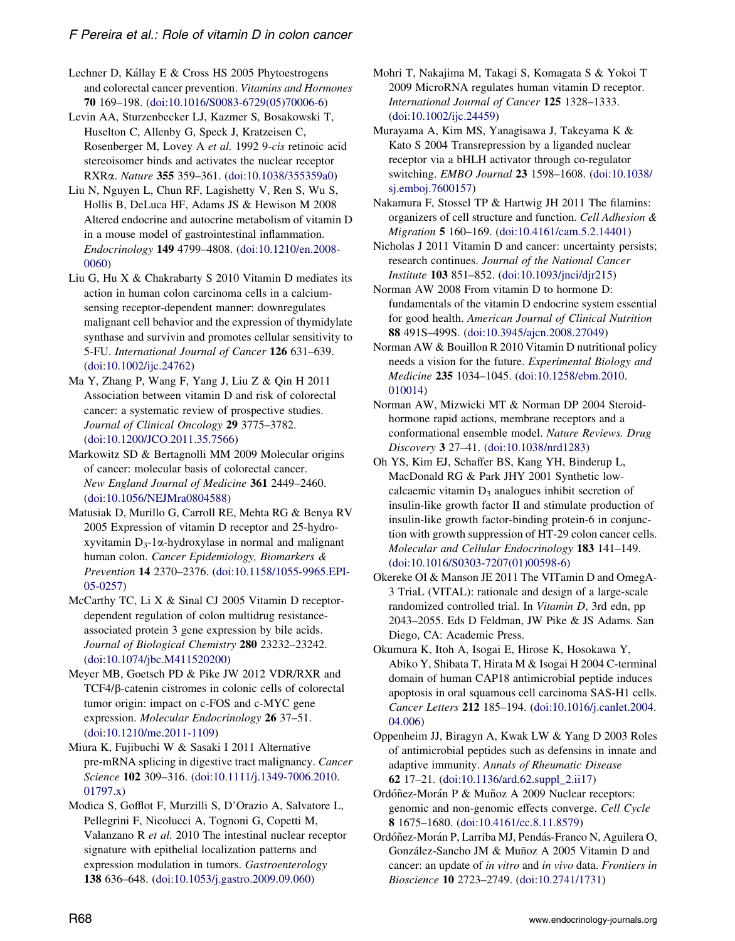<span id="page-17-0"></span>Lechner D, Kállay E & Cross HS 2005 Phytoestrogens and colorectal cancer prevention. Vitamins and Hormones 70 169–198. ([doi:10.1016/S0083-6729\(05\)70006-6](http://dx.doi.org/10.1016/S0083-6729(05)70006-6))

Levin AA, Sturzenbecker LJ, Kazmer S, Bosakowski T, Huselton C, Allenby G, Speck J, Kratzeisen C, Rosenberger M, Lovey A et al. 1992 9-cis retinoic acid stereoisomer binds and activates the nuclear receptor RXRa. Nature 355 359–361. [\(doi:10.1038/355359a0](http://dx.doi.org/10.1038/355359a0))

Liu N, Nguyen L, Chun RF, Lagishetty V, Ren S, Wu S, Hollis B, DeLuca HF, Adams JS & Hewison M 2008 Altered endocrine and autocrine metabolism of vitamin D in a mouse model of gastrointestinal inflammation. Endocrinology 149 4799–4808. [\(doi:10.1210/en.2008-](http://dx.doi.org/10.1210/en.2008-0060) [0060\)](http://dx.doi.org/10.1210/en.2008-0060)

Liu G, Hu X & Chakrabarty S 2010 Vitamin D mediates its action in human colon carcinoma cells in a calciumsensing receptor-dependent manner: downregulates malignant cell behavior and the expression of thymidylate synthase and survivin and promotes cellular sensitivity to 5-FU. International Journal of Cancer 126 631-639. ([doi:10.1002/ijc.24762](http://dx.doi.org/10.1002/ijc.24762))

Ma Y, Zhang P, Wang F, Yang J, Liu Z & Qin H 2011 Association between vitamin D and risk of colorectal cancer: a systematic review of prospective studies. Journal of Clinical Oncology 29 3775-3782. ([doi:10.1200/JCO.2011.35.7566\)](http://dx.doi.org/10.1200/JCO.2011.35.7566)

Markowitz SD & Bertagnolli MM 2009 Molecular origins of cancer: molecular basis of colorectal cancer. New England Journal of Medicine 361 2449–2460. ([doi:10.1056/NEJMra0804588](http://dx.doi.org/10.1056/NEJMra0804588))

Matusiak D, Murillo G, Carroll RE, Mehta RG & Benya RV 2005 Expression of vitamin D receptor and 25-hydroxyvitamin  $D_3$ -1 $\alpha$ -hydroxylase in normal and malignant human colon. Cancer Epidemiology, Biomarkers & Prevention 14 2370–2376. ([doi:10.1158/1055-9965.EPI-](http://dx.doi.org/10.1158/1055-9965.EPI-05-0257)[05-0257\)](http://dx.doi.org/10.1158/1055-9965.EPI-05-0257)

McCarthy TC, Li X & Sinal CJ 2005 Vitamin D receptordependent regulation of colon multidrug resistanceassociated protein 3 gene expression by bile acids. Journal of Biological Chemistry 280 23232–23242. ([doi:10.1074/jbc.M411520200](http://dx.doi.org/10.1074/jbc.M411520200))

Meyer MB, Goetsch PD & Pike JW 2012 VDR/RXR and TCF4/b-catenin cistromes in colonic cells of colorectal tumor origin: impact on c-FOS and c-MYC gene expression. Molecular Endocrinology 26 37–51. ([doi:10.1210/me.2011-1109\)](http://dx.doi.org/10.1210/me.2011-1109)

Miura K, Fujibuchi W & Sasaki I 2011 Alternative pre-mRNA splicing in digestive tract malignancy. Cancer Science 102 309–316. ([doi:10.1111/j.1349-7006.2010.](http://dx.doi.org/10.1111/j.1349-7006.2010.01797.x) [01797.x\)](http://dx.doi.org/10.1111/j.1349-7006.2010.01797.x)

Modica S, Gofflot F, Murzilli S, D'Orazio A, Salvatore L, Pellegrini F, Nicolucci A, Tognoni G, Copetti M, Valanzano R et al. 2010 The intestinal nuclear receptor signature with epithelial localization patterns and expression modulation in tumors. Gastroenterology 138 636–648. [\(doi:10.1053/j.gastro.2009.09.060\)](http://dx.doi.org/10.1053/j.gastro.2009.09.060)

Mohri T, Nakajima M, Takagi S, Komagata S & Yokoi T 2009 MicroRNA regulates human vitamin D receptor. International Journal of Cancer 125 1328–1333. ([doi:10.1002/ijc.24459](http://dx.doi.org/10.1002/ijc.24459))

Murayama A, Kim MS, Yanagisawa J, Takeyama K & Kato S 2004 Transrepression by a liganded nuclear receptor via a bHLH activator through co-regulator switching. EMBO Journal 23 1598–1608. ([doi:10.1038/](http://dx.doi.org/10.1038/sj.emboj.7600157) [sj.emboj.7600157](http://dx.doi.org/10.1038/sj.emboj.7600157))

Nakamura F, Stossel TP & Hartwig JH 2011 The filamins: organizers of cell structure and function. Cell Adhesion & Migration 5 160–169. ([doi:10.4161/cam.5.2.14401](http://dx.doi.org/10.4161/cam.5.2.14401))

Nicholas J 2011 Vitamin D and cancer: uncertainty persists; research continues. Journal of the National Cancer Institute 103 851–852. ([doi:10.1093/jnci/djr215\)](http://dx.doi.org/10.1093/jnci/djr215)

Norman AW 2008 From vitamin D to hormone D: fundamentals of the vitamin D endocrine system essential for good health. American Journal of Clinical Nutrition 88 491S–499S. ([doi:10.3945/ajcn.2008.27049](http://dx.doi.org/10.3945/ajcn.2008.27049))

Norman AW & Bouillon R 2010 Vitamin D nutritional policy needs a vision for the future. Experimental Biology and Medicine 235 1034–1045. ([doi:10.1258/ebm.2010.](http://dx.doi.org/10.1258/ebm.2010.010014) [010014\)](http://dx.doi.org/10.1258/ebm.2010.010014)

Norman AW, Mizwicki MT & Norman DP 2004 Steroidhormone rapid actions, membrane receptors and a conformational ensemble model. Nature Reviews. Drug Discovery 3 27–41. ([doi:10.1038/nrd1283](http://dx.doi.org/10.1038/nrd1283))

Oh YS, Kim EJ, Schaffer BS, Kang YH, Binderup L, MacDonald RG & Park JHY 2001 Synthetic lowcalcaemic vitamin  $D_3$  analogues inhibit secretion of insulin-like growth factor II and stimulate production of insulin-like growth factor-binding protein-6 in conjunction with growth suppression of HT-29 colon cancer cells. Molecular and Cellular Endocrinology 183 141–149. ([doi:10.1016/S0303-7207\(01\)00598-6](http://dx.doi.org/10.1016/S0303-7207(01)00598-6))

Okereke OI & Manson JE 2011 The VITamin D and OmegA-3 TriaL (VITAL): rationale and design of a large-scale randomized controlled trial. In Vitamin D, 3rd edn, pp 2043–2055. Eds D Feldman, JW Pike & JS Adams. San Diego, CA: Academic Press.

Okumura K, Itoh A, Isogai E, Hirose K, Hosokawa Y, Abiko Y, Shibata T, Hirata M & Isogai H 2004 C-terminal domain of human CAP18 antimicrobial peptide induces apoptosis in oral squamous cell carcinoma SAS-H1 cells. Cancer Letters 212 185–194. [\(doi:10.1016/j.canlet.2004.](http://dx.doi.org/10.1016/j.canlet.2004.04.006) [04.006\)](http://dx.doi.org/10.1016/j.canlet.2004.04.006)

Oppenheim JJ, Biragyn A, Kwak LW & Yang D 2003 Roles of antimicrobial peptides such as defensins in innate and adaptive immunity. Annals of Rheumatic Disease 62 17–21. ([doi:10.1136/ard.62.suppl\\_2.ii17](http://dx.doi.org/10.1136/ard.62.suppl_2.ii17))

Ordóñez-Morán P & Muñoz A 2009 Nuclear receptors: genomic and non-genomic effects converge. Cell Cycle 8 1675–1680. [\(doi:10.4161/cc.8.11.8579](http://dx.doi.org/10.4161/cc.8.11.8579))

Ordóñez-Morán P, Larriba MJ, Pendás-Franco N, Aguilera O, González-Sancho JM & Muñoz A 2005 Vitamin D and cancer: an update of in vitro and in vivo data. Frontiers in Bioscience 10 2723–2749. [\(doi:10.2741/1731](http://dx.doi.org/10.2741/1731))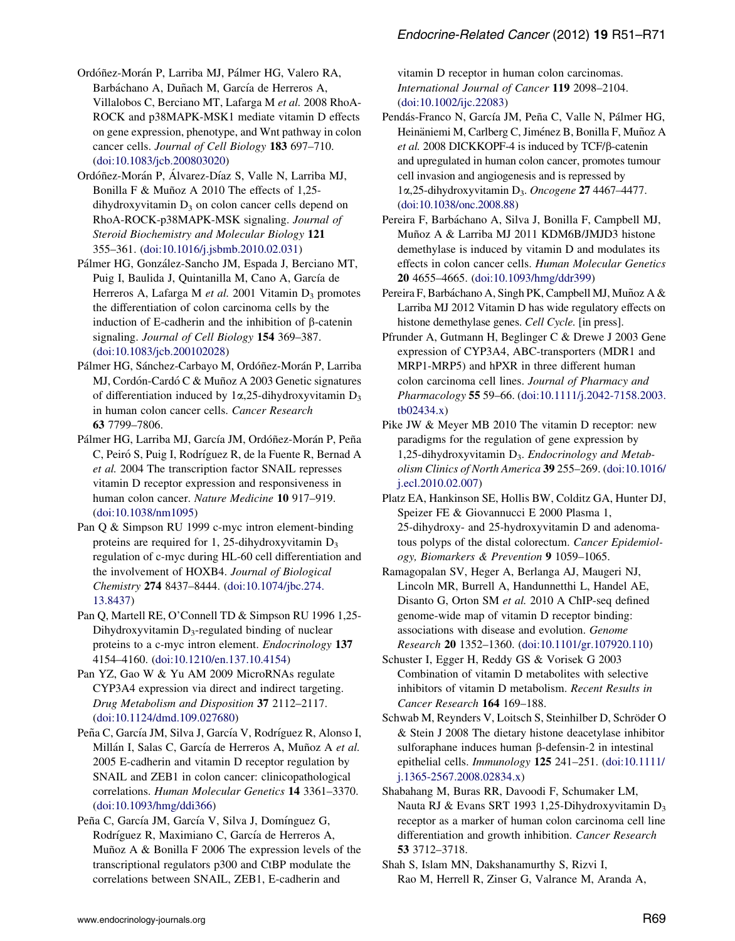<span id="page-18-0"></span>Ordóñez-Morán P, Larriba MJ, Pálmer HG, Valero RA, Barbáchano A, Duñach M, García de Herreros A, Villalobos C, Berciano MT, Lafarga M et al. 2008 RhoA-ROCK and p38MAPK-MSK1 mediate vitamin D effects on gene expression, phenotype, and Wnt pathway in colon cancer cells. Journal of Cell Biology 183 697–710. ([doi:10.1083/jcb.200803020\)](http://dx.doi.org/10.1083/jcb.200803020)

Ordóñez-Morán P, Álvarez-Díaz S, Valle N, Larriba MJ, Bonilla F & Muñoz A 2010 The effects of 1,25 $d$ ihydroxyvitamin  $D_3$  on colon cancer cells depend on RhoA-ROCK-p38MAPK-MSK signaling. Journal of Steroid Biochemistry and Molecular Biology 121 355–361. [\(doi:10.1016/j.jsbmb.2010.02.031](http://dx.doi.org/10.1016/j.jsbmb.2010.02.031))

Pálmer HG, González-Sancho JM, Espada J, Berciano MT, Puig I, Baulida J, Quintanilla M, Cano A, García de Herreros A, Lafarga M et al. 2001 Vitamin  $D_3$  promotes the differentiation of colon carcinoma cells by the induction of E-cadherin and the inhibition of  $\beta$ -catenin signaling. Journal of Cell Biology 154 369-387. ([doi:10.1083/jcb.200102028\)](http://dx.doi.org/10.1083/jcb.200102028)

Pálmer HG, Sánchez-Carbayo M, Ordóñez-Morán P, Larriba MJ, Cordón-Cardó C & Muñoz A 2003 Genetic signatures of differentiation induced by  $1\alpha$ , 25-dihydroxyvitamin  $D_3$ in human colon cancer cells. Cancer Research 63 7799–7806.

Pálmer HG, Larriba MJ, García JM, Ordóñez-Morán P, Peña C, Peiró S, Puig I, Rodríguez R, de la Fuente R, Bernad A et al. 2004 The transcription factor SNAIL represses vitamin D receptor expression and responsiveness in human colon cancer. Nature Medicine 10 917–919. ([doi:10.1038/nm1095\)](http://dx.doi.org/10.1038/nm1095)

Pan Q & Simpson RU 1999 c-myc intron element-binding proteins are required for 1, 25-dihydroxyvitamin  $D_3$ regulation of c-myc during HL-60 cell differentiation and the involvement of HOXB4. Journal of Biological Chemistry 274 8437–8444. ([doi:10.1074/jbc.274.](http://dx.doi.org/10.1074/jbc.274.13.8437) [13.8437\)](http://dx.doi.org/10.1074/jbc.274.13.8437)

Pan Q, Martell RE, O'Connell TD & Simpson RU 1996 1,25- Dihydroxyvitamin  $D_3$ -regulated binding of nuclear proteins to a c-myc intron element. Endocrinology 137 4154–4160. ([doi:10.1210/en.137.10.4154](http://dx.doi.org/10.1210/en.137.10.4154))

Pan YZ, Gao W & Yu AM 2009 MicroRNAs regulate CYP3A4 expression via direct and indirect targeting. Drug Metabolism and Disposition 37 2112–2117. ([doi:10.1124/dmd.109.027680](http://dx.doi.org/10.1124/dmd.109.027680))

Peña C, García JM, Silva J, García V, Rodríguez R, Alonso I, Millán I, Salas C, García de Herreros A, Muñoz A et al. 2005 E-cadherin and vitamin D receptor regulation by SNAIL and ZEB1 in colon cancer: clinicopathological correlations. Human Molecular Genetics 14 3361–3370. ([doi:10.1093/hmg/ddi366\)](http://dx.doi.org/10.1093/hmg/ddi366)

Peña C, García JM, García V, Silva J, Domínguez G, Rodríguez R, Maximiano C, García de Herreros A, Muñoz A  $&$  Bonilla F 2006 The expression levels of the transcriptional regulators p300 and CtBP modulate the correlations between SNAIL, ZEB1, E-cadherin and

vitamin D receptor in human colon carcinomas. International Journal of Cancer 119 2098–2104. ([doi:10.1002/ijc.22083](http://dx.doi.org/10.1002/ijc.22083))

Pendás-Franco N, García JM, Peña C, Valle N, Pálmer HG, Heinäniemi M, Carlberg C, Jiménez B, Bonilla F, Muñoz A et al. 2008 DICKKOPF-4 is induced by TCF/ $\beta$ -catenin and upregulated in human colon cancer, promotes tumour cell invasion and angiogenesis and is repressed by  $1\alpha$ ,25-dihydroxyvitamin D<sub>3</sub>. Oncogene 27 4467-4477. ([doi:10.1038/onc.2008.88](http://dx.doi.org/10.1038/onc.2008.88))

Pereira F, Barbáchano A, Silva J, Bonilla F, Campbell MJ, Muñoz A & Larriba MJ 2011 KDM6B/JMJD3 histone demethylase is induced by vitamin D and modulates its effects in colon cancer cells. Human Molecular Genetics 20 4655–4665. ([doi:10.1093/hmg/ddr399](http://dx.doi.org/10.1093/hmg/ddr399))

Pereira F, Barbáchano A, Singh PK, Campbell MJ, Muñoz A & Larriba MJ 2012 Vitamin D has wide regulatory effects on histone demethylase genes. Cell Cycle. [in press].

Pfrunder A, Gutmann H, Beglinger C & Drewe J 2003 Gene expression of CYP3A4, ABC-transporters (MDR1 and MRP1-MRP5) and hPXR in three different human colon carcinoma cell lines. Journal of Pharmacy and Pharmacology 55 59–66. [\(doi:10.1111/j.2042-7158.2003.](http://dx.doi.org/10.1111/j.2042-7158.2003.tb02434.x) [tb02434.x\)](http://dx.doi.org/10.1111/j.2042-7158.2003.tb02434.x)

Pike JW & Meyer MB 2010 The vitamin D receptor: new paradigms for the regulation of gene expression by 1,25-dihydroxyvitamin  $D_3$ . *Endocrinology and Metab*olism Clinics of North America 39 255–269. [\(doi:10.1016/](http://dx.doi.org/10.1016/j.ecl.2010.02.007) [j.ecl.2010.02.007](http://dx.doi.org/10.1016/j.ecl.2010.02.007))

Platz EA, Hankinson SE, Hollis BW, Colditz GA, Hunter DJ, Speizer FE & Giovannucci E 2000 Plasma 1, 25-dihydroxy- and 25-hydroxyvitamin D and adenomatous polyps of the distal colorectum. Cancer Epidemiology, Biomarkers & Prevention 9 1059–1065.

Ramagopalan SV, Heger A, Berlanga AJ, Maugeri NJ, Lincoln MR, Burrell A, Handunnetthi L, Handel AE, Disanto G, Orton SM et al. 2010 A ChIP-seq defined genome-wide map of vitamin D receptor binding: associations with disease and evolution. Genome Research 20 1352–1360. ([doi:10.1101/gr.107920.110\)](http://dx.doi.org/10.1101/gr.107920.110)

Schuster I, Egger H, Reddy GS & Vorisek G 2003 Combination of vitamin D metabolites with selective inhibitors of vitamin D metabolism. Recent Results in Cancer Research 164 169–188.

Schwab M, Reynders V, Loitsch S, Steinhilber D, Schröder O & Stein J 2008 The dietary histone deacetylase inhibitor sulforaphane induces human  $\beta$ -defensin-2 in intestinal epithelial cells. Immunology 125 241–251. ([doi:10.1111/](http://dx.doi.org/10.1111/j.1365-2567.2008.02834.x) [j.1365-2567.2008.02834.x](http://dx.doi.org/10.1111/j.1365-2567.2008.02834.x))

Shabahang M, Buras RR, Davoodi F, Schumaker LM, Nauta RJ & Evans SRT 1993 1,25-Dihydroxyvitamin  $D_3$ receptor as a marker of human colon carcinoma cell line differentiation and growth inhibition. Cancer Research 53 3712–3718.

Shah S, Islam MN, Dakshanamurthy S, Rizvi I, Rao M, Herrell R, Zinser G, Valrance M, Aranda A,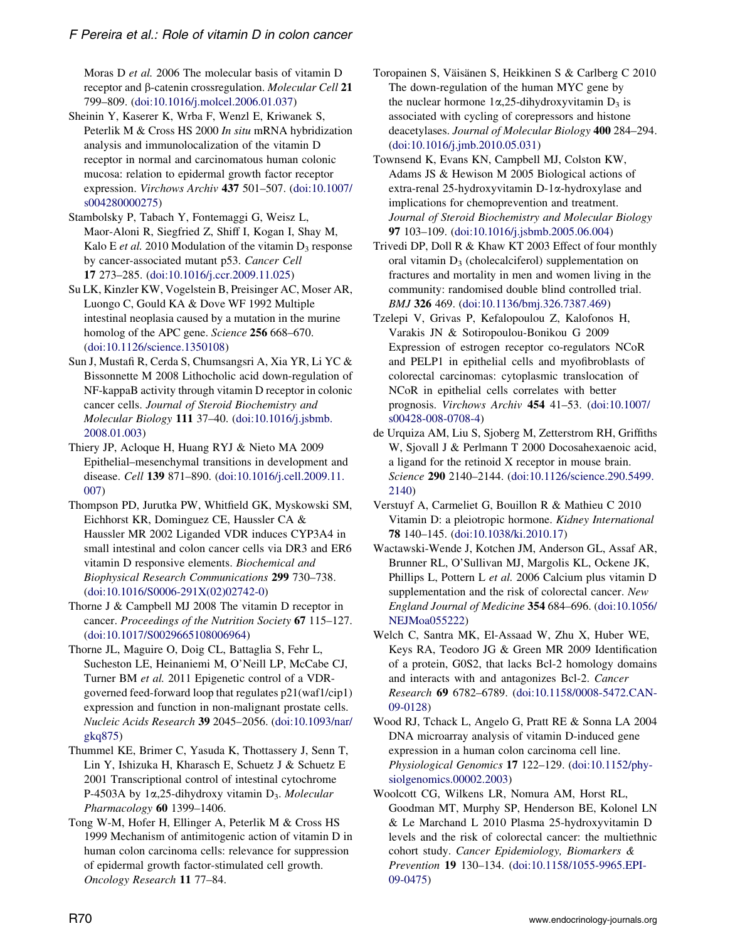<span id="page-19-0"></span>Moras D et al. 2006 The molecular basis of vitamin D receptor and β-catenin crossregulation. Molecular Cell 21 799–809. [\(doi:10.1016/j.molcel.2006.01.037](http://dx.doi.org/10.1016/j.molcel.2006.01.037))

- Sheinin Y, Kaserer K, Wrba F, Wenzl E, Kriwanek S, Peterlik M & Cross HS 2000 In situ mRNA hybridization analysis and immunolocalization of the vitamin D receptor in normal and carcinomatous human colonic mucosa: relation to epidermal growth factor receptor expression. Virchows Archiv 437 501–507. [\(doi:10.1007/](http://dx.doi.org/10.1007/s004280000275) [s004280000275](http://dx.doi.org/10.1007/s004280000275))
- Stambolsky P, Tabach Y, Fontemaggi G, Weisz L, Maor-Aloni R, Siegfried Z, Shiff I, Kogan I, Shay M, Kalo E et al. 2010 Modulation of the vitamin  $D_3$  response by cancer-associated mutant p53. Cancer Cell 17 273–285. ([doi:10.1016/j.ccr.2009.11.025](http://dx.doi.org/10.1016/j.ccr.2009.11.025))
- Su LK, Kinzler KW, Vogelstein B, Preisinger AC, Moser AR, Luongo C, Gould KA & Dove WF 1992 Multiple intestinal neoplasia caused by a mutation in the murine homolog of the APC gene. Science 256 668–670. ([doi:10.1126/science.1350108\)](http://dx.doi.org/10.1126/science.1350108)
- Sun J, Mustafi R, Cerda S, Chumsangsri A, Xia YR, Li YC & Bissonnette M 2008 Lithocholic acid down-regulation of NF-kappaB activity through vitamin D receptor in colonic cancer cells. Journal of Steroid Biochemistry and Molecular Biology 111 37–40. [\(doi:10.1016/j.jsbmb.](http://dx.doi.org/10.1016/j.jsbmb.2008.01.003) [2008.01.003\)](http://dx.doi.org/10.1016/j.jsbmb.2008.01.003)
- Thiery JP, Acloque H, Huang RYJ & Nieto MA 2009 Epithelial–mesenchymal transitions in development and disease. Cell 139 871–890. ([doi:10.1016/j.cell.2009.11.](http://dx.doi.org/10.1016/j.cell.2009.11.007) [007](http://dx.doi.org/10.1016/j.cell.2009.11.007))
- Thompson PD, Jurutka PW, Whitfield GK, Myskowski SM, Eichhorst KR, Dominguez CE, Haussler CA & Haussler MR 2002 Liganded VDR induces CYP3A4 in small intestinal and colon cancer cells via DR3 and ER6 vitamin D responsive elements. Biochemical and Biophysical Research Communications 299 730–738. ([doi:10.1016/S0006-291X\(02\)02742-0](http://dx.doi.org/10.1016/S0006-291X(02)02742-0))
- Thorne J & Campbell MJ 2008 The vitamin D receptor in cancer. Proceedings of the Nutrition Society 67 115–127. ([doi:10.1017/S0029665108006964](http://dx.doi.org/10.1017/S0029665108006964))
- Thorne JL, Maguire O, Doig CL, Battaglia S, Fehr L, Sucheston LE, Heinaniemi M, O'Neill LP, McCabe CJ, Turner BM et al. 2011 Epigenetic control of a VDRgoverned feed-forward loop that regulates p21(waf1/cip1) expression and function in non-malignant prostate cells. Nucleic Acids Research 39 2045–2056. [\(doi:10.1093/nar/](http://dx.doi.org/10.1093/nar/gkq875) [gkq875\)](http://dx.doi.org/10.1093/nar/gkq875)
- Thummel KE, Brimer C, Yasuda K, Thottassery J, Senn T, Lin Y, Ishizuka H, Kharasch E, Schuetz J & Schuetz E 2001 Transcriptional control of intestinal cytochrome P-4503A by  $1\alpha$ , 25-dihydroxy vitamin D<sub>3</sub>. Molecular Pharmacology 60 1399–1406.
- Tong W-M, Hofer H, Ellinger A, Peterlik M & Cross HS 1999 Mechanism of antimitogenic action of vitamin D in human colon carcinoma cells: relevance for suppression of epidermal growth factor-stimulated cell growth. Oncology Research 11 77–84.
- Toropainen S, Väisänen S, Heikkinen S & Carlberg C 2010 The down-regulation of the human MYC gene by the nuclear hormone  $1\alpha$ , 25-dihydroxyvitamin  $D_3$  is associated with cycling of corepressors and histone deacetylases. Journal of Molecular Biology 400 284–294. ([doi:10.1016/j.jmb.2010.05.031](http://dx.doi.org/10.1016/j.jmb.2010.05.031))
- Townsend K, Evans KN, Campbell MJ, Colston KW, Adams JS & Hewison M 2005 Biological actions of extra-renal 25-hydroxyvitamin D-1a-hydroxylase and implications for chemoprevention and treatment. Journal of Steroid Biochemistry and Molecular Biology 97 103–109. ([doi:10.1016/j.jsbmb.2005.06.004](http://dx.doi.org/10.1016/j.jsbmb.2005.06.004))
- Trivedi DP, Doll R & Khaw KT 2003 Effect of four monthly oral vitamin  $D_3$  (cholecalciferol) supplementation on fractures and mortality in men and women living in the community: randomised double blind controlled trial. BMJ 326 469. [\(doi:10.1136/bmj.326.7387.469](http://dx.doi.org/10.1136/bmj.326.7387.469))
- Tzelepi V, Grivas P, Kefalopoulou Z, Kalofonos H, Varakis JN & Sotiropoulou-Bonikou G 2009 Expression of estrogen receptor co-regulators NCoR and PELP1 in epithelial cells and myofibroblasts of colorectal carcinomas: cytoplasmic translocation of NCoR in epithelial cells correlates with better prognosis. Virchows Archiv 454 41–53. [\(doi:10.1007/](http://dx.doi.org/10.1007/s00428-008-0708-4) [s00428-008-0708-4\)](http://dx.doi.org/10.1007/s00428-008-0708-4)
- de Urquiza AM, Liu S, Sjoberg M, Zetterstrom RH, Griffiths W, Sjovall J & Perlmann T 2000 Docosahexaenoic acid, a ligand for the retinoid X receptor in mouse brain. Science 290 2140–2144. ([doi:10.1126/science.290.5499.](http://dx.doi.org/10.1126/science.290.5499.2140) [2140\)](http://dx.doi.org/10.1126/science.290.5499.2140)
- Verstuyf A, Carmeliet G, Bouillon R & Mathieu C 2010 Vitamin D: a pleiotropic hormone. Kidney International 78 140–145. ([doi:10.1038/ki.2010.17\)](http://dx.doi.org/10.1038/ki.2010.17)
- Wactawski-Wende J, Kotchen JM, Anderson GL, Assaf AR, Brunner RL, O'Sullivan MJ, Margolis KL, Ockene JK, Phillips L, Pottern L et al. 2006 Calcium plus vitamin D supplementation and the risk of colorectal cancer. New England Journal of Medicine 354 684–696. ([doi:10.1056/](http://dx.doi.org/10.1056/NEJMoa055222) [NEJMoa055222\)](http://dx.doi.org/10.1056/NEJMoa055222)
- Welch C, Santra MK, El-Assaad W, Zhu X, Huber WE, Keys RA, Teodoro JG & Green MR 2009 Identification of a protein, G0S2, that lacks Bcl-2 homology domains and interacts with and antagonizes Bcl-2. Cancer Research 69 6782–6789. ([doi:10.1158/0008-5472.CAN-](http://dx.doi.org/10.1158/0008-5472.CAN-09-0128)[09-0128\)](http://dx.doi.org/10.1158/0008-5472.CAN-09-0128)
- Wood RJ, Tchack L, Angelo G, Pratt RE & Sonna LA 2004 DNA microarray analysis of vitamin D-induced gene expression in a human colon carcinoma cell line. Physiological Genomics 17 122–129. ([doi:10.1152/phy](http://dx.doi.org/10.1152/physiolgenomics.00002.2003)[siolgenomics.00002.2003](http://dx.doi.org/10.1152/physiolgenomics.00002.2003))
- Woolcott CG, Wilkens LR, Nomura AM, Horst RL, Goodman MT, Murphy SP, Henderson BE, Kolonel LN & Le Marchand L 2010 Plasma 25-hydroxyvitamin D levels and the risk of colorectal cancer: the multiethnic cohort study. Cancer Epidemiology, Biomarkers & Prevention 19 130–134. ([doi:10.1158/1055-9965.EPI-](http://dx.doi.org/10.1158/1055-9965.EPI-09-0475)[09-0475\)](http://dx.doi.org/10.1158/1055-9965.EPI-09-0475)